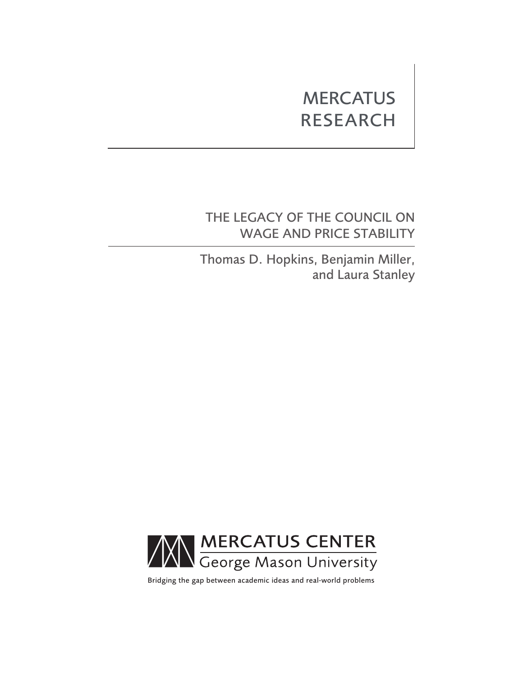# **MERCATUS** RESEARCH

# THE LEGACY OF THE COUNCIL ON WAGE AND PRICE STABILITY

Thomas D. Hopkins, Benjamin Miller, and Laura Stanley



Bridging the gap between academic ideas and real-world problems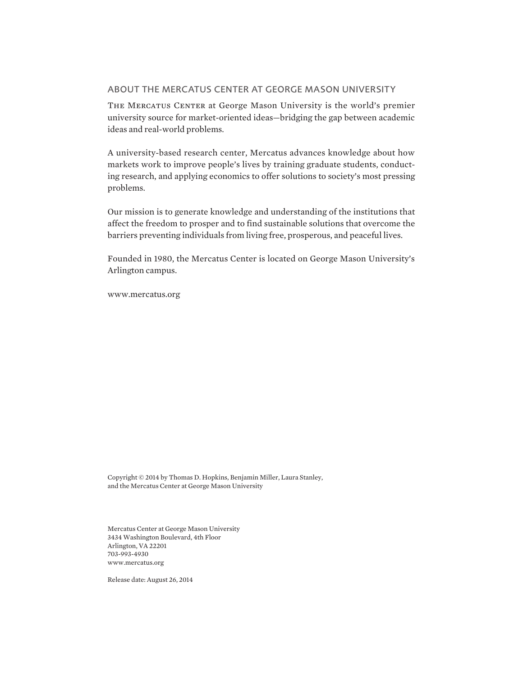### ABOUT THE MERCATUS CENTER AT GEORGE MASON UNIVERSITY

THE MERCATUS CENTER at George Mason University is the world's premier university source for market-oriented ideas—bridging the gap between academic ideas and real-world problems.

A university-based research center, Mercatus advances knowledge about how markets work to improve people's lives by training graduate students, conducting research, and applying economics to offer solutions to society's most pressing problems.

Our mission is to generate knowledge and understanding of the institutions that affect the freedom to prosper and to find sustainable solutions that overcome the barriers preventing individuals from living free, prosperous, and peaceful lives.

Founded in 1980, the Mercatus Center is located on George Mason University's Arlington campus.

[www.mercatus.org](http://mercatus.org/)

Copyright © 2014 by Thomas D. Hopkins, Benjamin Miller, Laura Stanley, and the Mercatus Center at George Mason University

Mercatus Center at George Mason University 3434 Washington Boulevard, 4th Floor Arlington, VA 22201 703-993-4930 [www.mercatus.org](http://mercatus.org/)

Release date: August 26, 2014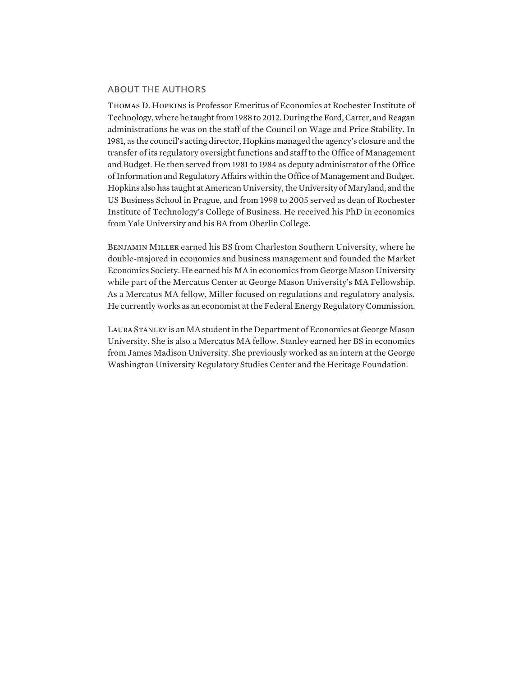# ABOUT THE AUTHORS

Thomas D. Hopkins is Professor Emeritus of Economics at Rochester Institute of Technology, where he taught from 1988 to 2012. During the Ford, Carter, and Reagan administrations he was on the staff of the Council on Wage and Price Stability. In 1981, as the council's acting director, Hopkins managed the agency's closure and the transfer of its regulatory oversight functions and staff to the Office of Management and Budget. He then served from 1981 to 1984 as deputy administrator of the Office of Information and Regulatory Affairs within the Office of Management and Budget. Hopkins also has taught at American University, the University of Maryland, and the US Business School in Prague, and from 1998 to 2005 served as dean of Rochester Institute of Technology's College of Business. He received his PhD in economics from Yale University and his BA from Oberlin College.

Benjamin Miller earned his BS from Charleston Southern University, where he double-majored in economics and business management and founded the Market Economics Society. He earned his MA in economics from George Mason University while part of the Mercatus Center at George Mason University's MA Fellowship. As a Mercatus MA fellow, Miller focused on regulations and regulatory analysis. He currently works as an economist at the Federal Energy Regulatory Commission.

Laura Stanley is an MA student in the Department of Economics at George Mason University. She is also a Mercatus MA fellow. Stanley earned her BS in economics from James Madison University. She previously worked as an intern at the George Washington University Regulatory Studies Center and the Heritage Foundation.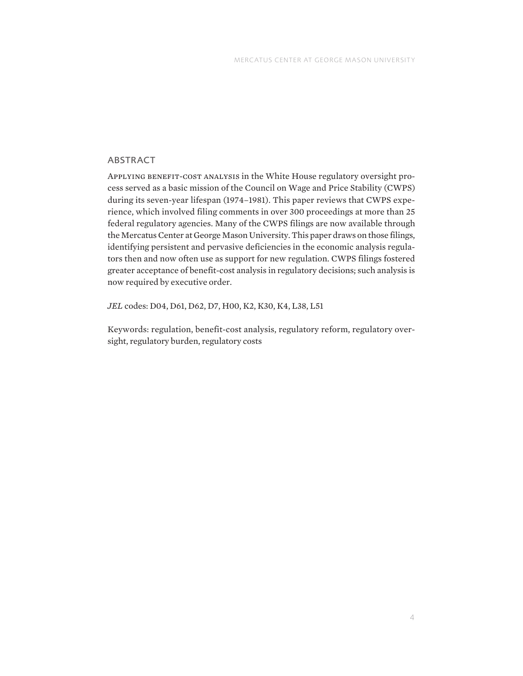# ABSTRACT

APPLYING BENEFIT-COST ANALYSIS in the White House regulatory oversight process served as a basic mission of the Council on Wage and Price Stability (CWPS) during its seven-year lifespan (1974–1981). This paper reviews that CWPS experience, which involved filing comments in over 300 proceedings at more than 25 federal regulatory agencies. Many of the CWPS filings are now available through the Mercatus Center at George Mason University. This paper draws on those filings, identifying persistent and pervasive deficiencies in the economic analysis regulators then and now often use as support for new regulation. CWPS filings fostered greater acceptance of benefit-cost analysis in regulatory decisions; such analysis is now required by executive order.

*JEL* codes: D04, D61, D62, D7, H00, K2, K30, K4, L38, L51

Keywords: regulation, benefit-cost analysis, regulatory reform, regulatory oversight, regulatory burden, regulatory costs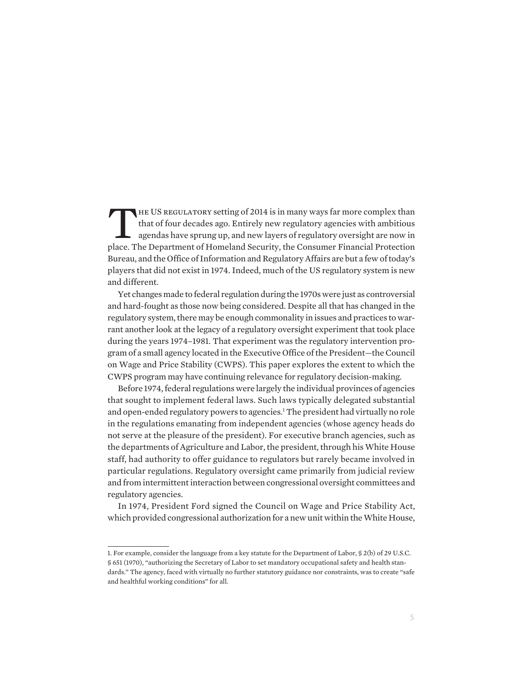THE US REGULATORY setting of 2014 is in many ways far more complex than<br>that of four decades ago. Entirely new regulatory agencies with ambitious<br>agendas have sprung up, and new layers of regulatory oversight are now in<br>pl that of four decades ago. Entirely new regulatory agencies with ambitious agendas have sprung up, and new layers of regulatory oversight are now in place. The Department of Homeland Security, the Consumer Financial Protection Bureau, and the Office of Information and Regulatory Affairs are but a few of today's players that did not exist in 1974. Indeed, much of the US regulatory system is new and different.

Yet changes made to federal regulation during the 1970s were just as controversial and hard-fought as those now being considered. Despite all that has changed in the regulatory system, there may be enough commonality in issues and practices to warrant another look at the legacy of a regulatory oversight experiment that took place during the years 1974–1981. That experiment was the regulatory intervention program of a small agency located in the Executive Office of the President—the Council on Wage and Price Stability (CWPS). This paper explores the extent to which the CWPS program may have continuing relevance for regulatory decision-making.

Before 1974, federal regulations were largely the individual provinces of agencies that sought to implement federal laws. Such laws typically delegated substantial and open-ended regulatory powers to agencies.<sup>1</sup> The president had virtually no role in the regulations emanating from independent agencies (whose agency heads do not serve at the pleasure of the president). For executive branch agencies, such as the departments of Agriculture and Labor, the president, through his White House staff, had authority to offer guidance to regulators but rarely became involved in particular regulations. Regulatory oversight came primarily from judicial review and from intermittent interaction between congressional oversight committees and regulatory agencies.

In 1974, President Ford signed the Council on Wage and Price Stability Act, which provided congressional authorization for a new unit within the White House,

<sup>1.</sup> For example, consider the language from a key statute for the Department of Labor, § 2(b) of 29 U.S.C. § 651 (1970), "authorizing the Secretary of Labor to set mandatory occupational safety and health standards." The agency, faced with virtually no further statutory guidance nor constraints, was to create "safe and healthful working conditions" for all.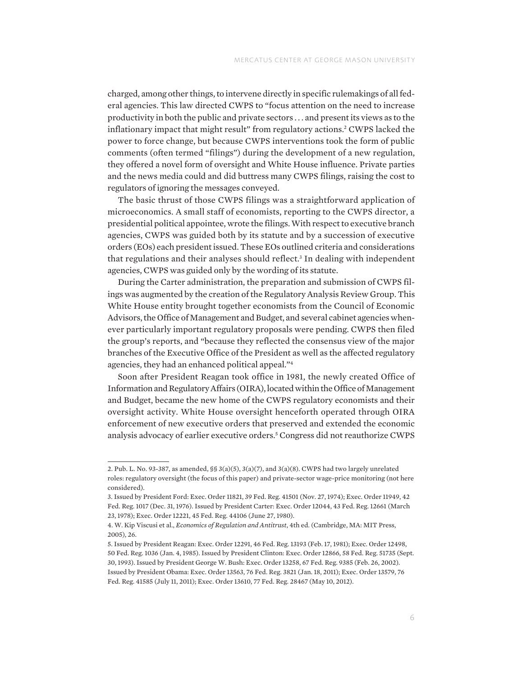charged, among other things, to intervene directly in specific rulemakings of all federal agencies. This law directed CWPS to "focus attention on the need to increase productivity in both the public and private sectors . . . and present its views as to the inflationary impact that might result" from regulatory actions.2 CWPS lacked the power to force change, but because CWPS interventions took the form of public comments (often termed "filings") during the development of a new regulation, they offered a novel form of oversight and White House influence. Private parties and the news media could and did buttress many CWPS filings, raising the cost to regulators of ignoring the messages conveyed.

The basic thrust of those CWPS filings was a straightforward application of microeconomics. A small staff of economists, reporting to the CWPS director, a presidential political appointee, wrote the filings. With respect to executive branch agencies, CWPS was guided both by its statute and by a succession of executive orders (EOs) each president issued. These EOs outlined criteria and considerations that regulations and their analyses should reflect.<sup>3</sup> In dealing with independent agencies, CWPS was guided only by the wording of its statute.

During the Carter administration, the preparation and submission of CWPS filings was augmented by the creation of the Regulatory Analysis Review Group. This White House entity brought together economists from the Council of Economic Advisors, the Office of Management and Budget, and several cabinet agencies whenever particularly important regulatory proposals were pending. CWPS then filed the group's reports, and "because they reflected the consensus view of the major branches of the Executive Office of the President as well as the affected regulatory agencies, they had an enhanced political appeal."4

Soon after President Reagan took office in 1981, the newly created Office of Information and Regulatory Affairs (OIRA), located within the Office of Management and Budget, became the new home of the CWPS regulatory economists and their oversight activity. White House oversight henceforth operated through OIRA enforcement of new executive orders that preserved and extended the economic analysis advocacy of earlier executive orders.5 Congress did not reauthorize CWPS

<sup>2.</sup> Pub. L. No. 93-387, as amended,  $\S$ § 3(a)(5), 3(a)(7), and 3(a)(8). CWPS had two largely unrelated roles: regulatory oversight (the focus of this paper) and private-sector wage-price monitoring (not here considered).

<sup>3.</sup> Issued by President Ford: Exec. Order 11821, 39 Fed. Reg. 41501 (Nov. 27, 1974); Exec. Order 11949, 42 Fed. Reg. 1017 (Dec. 31, 1976). Issued by President Carter: Exec. Order 12044, 43 Fed. Reg. 12661 (March 23, 1978); Exec. Order 12221, 45 Fed. Reg. 44106 (June 27, 1980).

<sup>4.</sup> W. Kip Viscusi et al., *Economics of Regulation and Antitrust*, 4th ed. (Cambridge, MA: MIT Press, 2005), 26.

<sup>5.</sup> Issued by President Reagan: Exec. Order 12291, 46 Fed. Reg. 13193 (Feb. 17, 1981); Exec. Order 12498, 50 Fed. Reg. 1036 (Jan. 4, 1985). Issued by President Clinton: Exec. Order 12866, 58 Fed. Reg. 51735 (Sept. 30, 1993). Issued by President George W. Bush: Exec. Order 13258, 67 Fed. Reg. 9385 (Feb. 26, 2002). Issued by President Obama: Exec. Order 13563, 76 Fed. Reg. 3821 (Jan. 18, 2011); Exec. Order 13579, 76 Fed. Reg. 41585 (July 11, 2011); Exec. Order 13610, 77 Fed. Reg. 28467 (May 10, 2012).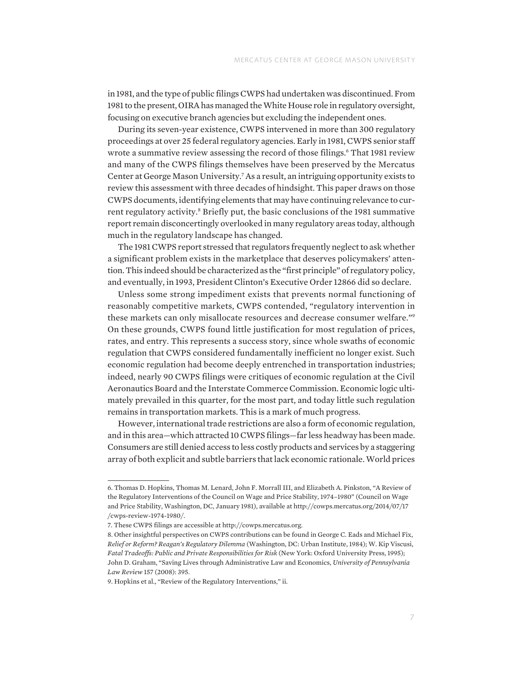in 1981, and the type of public filings CWPS had undertaken was discontinued. From 1981 to the present, OIRA has managed the White House role in regulatory oversight, focusing on executive branch agencies but excluding the independent ones.

During its seven-year existence, CWPS intervened in more than 300 regulatory proceedings at over 25 federal regulatory agencies. Early in 1981, CWPS senior staff wrote a summative review assessing the record of those filings.<sup>6</sup> That 1981 review and many of the CWPS filings themselves have been preserved by the Mercatus Center at George Mason University.<sup>7</sup> As a result, an intriguing opportunity exists to review this assessment with three decades of hindsight. This paper draws on those CWPS documents, identifying elements that may have continuing relevance to current regulatory activity.<sup>8</sup> Briefly put, the basic conclusions of the 1981 summative report remain disconcertingly overlooked in many regulatory areas today, although much in the regulatory landscape has changed.

The 1981 CWPS report stressed that regulators frequently neglect to ask whether a significant problem exists in the marketplace that deserves policymakers' attention. This indeed should be characterized as the "first principle" of regulatory policy, and eventually, in 1993, President Clinton's Executive Order 12866 did so declare.

Unless some strong impediment exists that prevents normal functioning of reasonably competitive markets, CWPS contended, "regulatory intervention in these markets can only misallocate resources and decrease consumer welfare."9 On these grounds, CWPS found little justification for most regulation of prices, rates, and entry. This represents a success story, since whole swaths of economic regulation that CWPS considered fundamentally inefficient no longer exist. Such economic regulation had become deeply entrenched in transportation industries; indeed, nearly 90 CWPS filings were critiques of economic regulation at the Civil Aeronautics Board and the Interstate Commerce Commission. Economic logic ultimately prevailed in this quarter, for the most part, and today little such regulation remains in transportation markets. This is a mark of much progress.

However, international trade restrictions are also a form of economic regulation, and in this area—which attracted 10 CWPS filings—far less headway has been made. Consumers are still denied access to less costly products and services by a staggering array of both explicit and subtle barriers that lack economic rationale. World prices

<sup>6.</sup> Thomas D. Hopkins, Thomas M. Lenard, John F. Morrall III, and Elizabeth A. Pinkston, "A Review of the Regulatory Interventions of the Council on Wage and Price Stability, 1974–1980" (Council on Wage and Price Stability, Washington, DC, January 1981), available at [http://cowps.mercatus.org/2014/07/17](http://cowps.mercatus.org/2014/07/17/cwps-review-1974-1980/) [/cwps-review-1974-1980/.](http://cowps.mercatus.org/2014/07/17/cwps-review-1974-1980/)

<sup>7.</sup> These CWPS filings are accessible at [http://cowps.mercatus.org.](http://cowps.mercatus.org)

<sup>8.</sup> Other insightful perspectives on CWPS contributions can be found in George C. Eads and Michael Fix, *Relief or Reform? Reagan's Regulatory Dilemma* (Washington, DC: Urban Institute, 1984); W. Kip Viscusi, *Fatal Tradeoffs: Public and Private Responsibilities for Risk* (New York: Oxford University Press, 1995); John D. Graham, "Saving Lives through Administrative Law and Economics, *University of Pennsylvania Law Review* 157 (2008): 395.

<sup>9.</sup> Hopkins et al., "Review of the Regulatory Interventions," ii.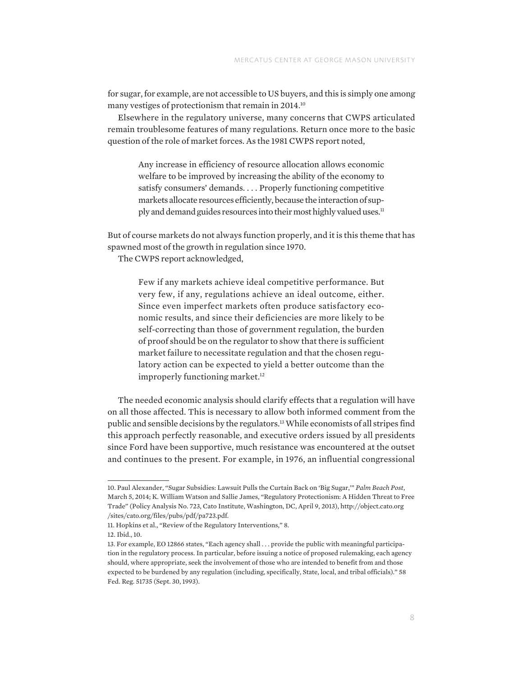for sugar, for example, are not accessible to US buyers, and this is simply one among many vestiges of protectionism that remain in 2014.<sup>10</sup>

Elsewhere in the regulatory universe, many concerns that CWPS articulated remain troublesome features of many regulations. Return once more to the basic question of the role of market forces. As the 1981 CWPS report noted,

Any increase in efficiency of resource allocation allows economic welfare to be improved by increasing the ability of the economy to satisfy consumers' demands. . . . Properly functioning competitive markets allocate resources efficiently, because the interaction of supply and demand guides resources into their most highly valued uses.<sup>11</sup>

But of course markets do not always function properly, and it is this theme that has spawned most of the growth in regulation since 1970.

The CWPS report acknowledged,

Few if any markets achieve ideal competitive performance. But very few, if any, regulations achieve an ideal outcome, either. Since even imperfect markets often produce satisfactory economic results, and since their deficiencies are more likely to be self-correcting than those of government regulation, the burden of proof should be on the regulator to show that there is sufficient market failure to necessitate regulation and that the chosen regulatory action can be expected to yield a better outcome than the improperly functioning market.<sup>12</sup>

The needed economic analysis should clarify effects that a regulation will have on all those affected. This is necessary to allow both informed comment from the public and sensible decisions by the regulators.13 While economists of all stripes find this approach perfectly reasonable, and executive orders issued by all presidents since Ford have been supportive, much resistance was encountered at the outset and continues to the present. For example, in 1976, an influential congressional

<sup>10.</sup> Paul Alexander, "Sugar Subsidies: Lawsuit Pulls the Curtain Back on 'Big Sugar,'" *Palm Beach Post*, March 5, 2014; K. William Watson and Sallie James, "Regulatory Protectionism: A Hidden Threat to Free Trade" (Policy Analysis No. 723, Cato Institute, Washington, DC, April 9, 2013), [http://object.cato.org](http://object.cato.org/sites/cato.org/files/pubs/pdf/pa723.pdf) [/sites/cato.org/files/pubs/pdf/pa723.pdf.](http://object.cato.org/sites/cato.org/files/pubs/pdf/pa723.pdf)

<sup>11.</sup> Hopkins et al., "Review of the Regulatory Interventions," 8.

<sup>12.</sup> Ibid., 10.

<sup>13.</sup> For example, EO 12866 states, "Each agency shall . . . provide the public with meaningful participation in the regulatory process. In particular, before issuing a notice of proposed rulemaking, each agency should, where appropriate, seek the involvement of those who are intended to benefit from and those expected to be burdened by any regulation (including, specifically, State, local, and tribal officials)." 58 Fed. Reg. 51735 (Sept. 30, 1993).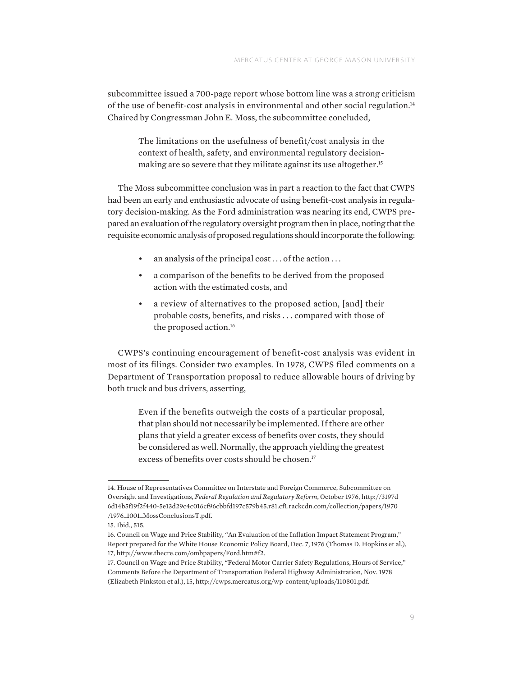subcommittee issued a 700-page report whose bottom line was a strong criticism of the use of benefit-cost analysis in environmental and other social regulation.14 Chaired by Congressman John E. Moss, the subcommittee concluded,

The limitations on the usefulness of benefit/cost analysis in the context of health, safety, and environmental regulatory decisionmaking are so severe that they militate against its use altogether.<sup>15</sup>

The Moss subcommittee conclusion was in part a reaction to the fact that CWPS had been an early and enthusiastic advocate of using benefit-cost analysis in regulatory decision-making. As the Ford administration was nearing its end, CWPS prepared an evaluation of the regulatory oversight program then in place, noting that the requisite economic analysis of proposed regulations should incorporate the following:

- an analysis of the principal cost  $\dots$  of the action  $\dots$
- a comparison of the benefits to be derived from the proposed action with the estimated costs, and
- a review of alternatives to the proposed action, [and] their probable costs, benefits, and risks . . . compared with those of the proposed action.16

CWPS's continuing encouragement of benefit-cost analysis was evident in most of its filings. Consider two examples. In 1978, CWPS filed comments on a Department of Transportation proposal to reduce allowable hours of driving by both truck and bus drivers, asserting,

Even if the benefits outweigh the costs of a particular proposal, that plan should not necessarily be implemented. If there are other plans that yield a greater excess of benefits over costs, they should be considered as well. Normally, the approach yielding the greatest excess of benefits over costs should be chosen.<sup>17</sup>

<sup>14.</sup> House of Representatives Committee on Interstate and Foreign Commerce, Subcommittee on Oversight and Investigations, *Federal Regulation and Regulatory Reform*, October 1976, [http://3197d](http://3197d6d14b5f19f2f440-5e13d29c4c016cf96cbbfd197c579b45.r81.cf1.rackcdn.com/collection/papers/1970/1976_1001_MossConclusionsT.pdf) [6d14b5f19f2f440-5e13d29c4c016cf96cbbfd197c579b45.r81.cf1.rackcdn.com/collection/papers/1970](http://3197d6d14b5f19f2f440-5e13d29c4c016cf96cbbfd197c579b45.r81.cf1.rackcdn.com/collection/papers/1970/1976_1001_MossConclusionsT.pdf) [/1976\\_1001\\_MossConclusionsT.pdf.](http://3197d6d14b5f19f2f440-5e13d29c4c016cf96cbbfd197c579b45.r81.cf1.rackcdn.com/collection/papers/1970/1976_1001_MossConclusionsT.pdf)

<sup>15.</sup> Ibid., 515.

<sup>16.</sup> Council on Wage and Price Stability, "An Evaluation of the Inflation Impact Statement Program," Report prepared for the White House Economic Policy Board, Dec. 7, 1976 (Thomas D. Hopkins et al.), 17,<http://www.thecre.com/ombpapers/Ford.htm#f2>.

<sup>17.</sup> Council on Wage and Price Stability, "Federal Motor Carrier Safety Regulations, Hours of Service," Comments Before the Department of Transportation Federal Highway Administration, Nov. 1978 (Elizabeth Pinkston et al.), 15, [http://cwps.mercatus.org/wp-content/uploads/110801.pdf.](http://cwps.mercatus.org/wp-content/uploads/110801.pdf)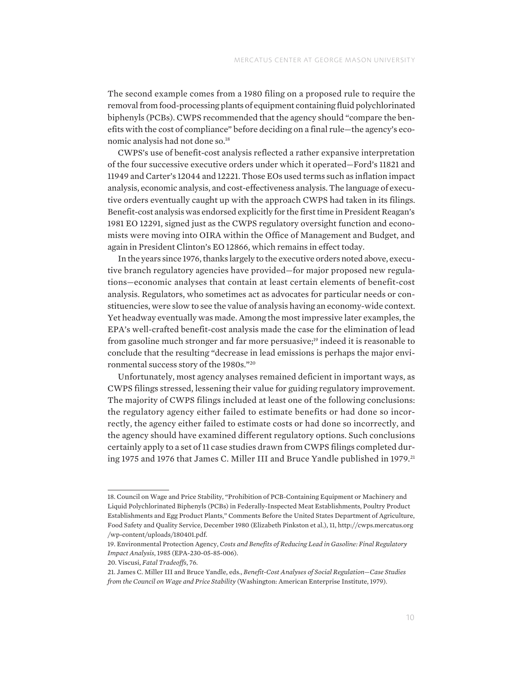The second example comes from a 1980 filing on a proposed rule to require the removal from food-processing plants of equipment containing fluid polychlorinated biphenyls (PCBs). CWPS recommended that the agency should "compare the benefits with the cost of compliance" before deciding on a final rule—the agency's economic analysis had not done so.18

CWPS's use of benefit-cost analysis reflected a rather expansive interpretation of the four successive executive orders under which it operated—Ford's 11821 and 11949 and Carter's 12044 and 12221. Those EOs used terms such as inflation impact analysis, economic analysis, and cost-effectiveness analysis. The language of executive orders eventually caught up with the approach CWPS had taken in its filings. Benefit-cost analysis was endorsed explicitly for the first time in President Reagan's 1981 EO 12291, signed just as the CWPS regulatory oversight function and economists were moving into OIRA within the Office of Management and Budget, and again in President Clinton's EO 12866, which remains in effect today.

In the years since 1976, thanks largely to the executive orders noted above, executive branch regulatory agencies have provided—for major proposed new regulations—economic analyses that contain at least certain elements of benefit-cost analysis. Regulators, who sometimes act as advocates for particular needs or constituencies, were slow to see the value of analysis having an economy-wide context. Yet headway eventually was made. Among the most impressive later examples, the EPA's well-crafted benefit-cost analysis made the case for the elimination of lead from gasoline much stronger and far more persuasive;19 indeed it is reasonable to conclude that the resulting "decrease in lead emissions is perhaps the major environmental success story of the 1980s."20

Unfortunately, most agency analyses remained deficient in important ways, as CWPS filings stressed, lessening their value for guiding regulatory improvement. The majority of CWPS filings included at least one of the following conclusions: the regulatory agency either failed to estimate benefits or had done so incorrectly, the agency either failed to estimate costs or had done so incorrectly, and the agency should have examined different regulatory options. Such conclusions certainly apply to a set of 11 case studies drawn from CWPS filings completed during 1975 and 1976 that James C. Miller III and Bruce Yandle published in 1979.<sup>21</sup>

<sup>18.</sup> Council on Wage and Price Stability, "Prohibition of PCB-Containing Equipment or Machinery and Liquid Polychlorinated Biphenyls (PCBs) in Federally-Inspected Meat Establishments, Poultry Product Establishments and Egg Product Plants," Comments Before the United States Department of Agriculture, Food Safety and Quality Service, December 1980 (Elizabeth Pinkston et al.), 11, [http://cwps.mercatus.org](http://cwps.mercatus.org/wp-content/uploads/180401.pdf) [/wp-content/uploads/180401.pdf.](http://cwps.mercatus.org/wp-content/uploads/180401.pdf)

<sup>19.</sup> Environmental Protection Agency, *Costs and Benefits of Reducing Lead in Gasoline: Final Regulatory Impact Analysis*, 1985 (EPA-230-05-85-006).

<sup>20.</sup> Viscusi, *Fatal Tradeoffs*, 76.

<sup>21.</sup> James C. Miller III and Bruce Yandle, eds., *Benefit-Cost Analyses of Social Regulation—Case Studies from the Council on Wage and Price Stability* (Washington: American Enterprise Institute, 1979).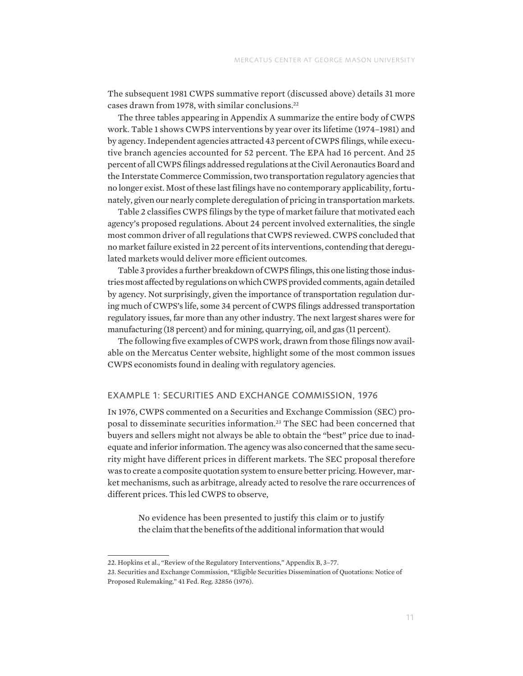The subsequent 1981 CWPS summative report (discussed above) details 31 more cases drawn from 1978, with similar conclusions.<sup>22</sup>

The three tables appearing in Appendix A summarize the entire body of CWPS work. Table 1 shows CWPS interventions by year over its lifetime (1974–1981) and by agency. Independent agencies attracted 43 percent of CWPS filings, while executive branch agencies accounted for 52 percent. The EPA had 16 percent. And 25 percent of all CWPS filings addressed regulations at the Civil Aeronautics Board and the Interstate Commerce Commission, two transportation regulatory agencies that no longer exist. Most of these last filings have no contemporary applicability, fortunately, given our nearly complete deregulation of pricing in transportation markets.

Table 2 classifies CWPS filings by the type of market failure that motivated each agency's proposed regulations. About 24 percent involved externalities, the single most common driver of all regulations that CWPS reviewed. CWPS concluded that no market failure existed in 22 percent of its interventions, contending that deregulated markets would deliver more efficient outcomes.

Table 3 provides a further breakdown of CWPS filings, this one listing those industries most affected by regulations on which CWPS provided comments, again detailed by agency. Not surprisingly, given the importance of transportation regulation during much of CWPS's life, some 34 percent of CWPS filings addressed transportation regulatory issues, far more than any other industry. The next largest shares were for manufacturing (18 percent) and for mining, quarrying, oil, and gas (11 percent).

The following five examples of CWPS work, drawn from those filings now available on the Mercatus Center website, highlight some of the most common issues CWPS economists found in dealing with regulatory agencies.

#### EXAMPLE 1: SECURITIES AND EXCHANGE COMMISSION, 1976

In 1976, CWPS commented on a Securities and Exchange Commission (SEC) proposal to disseminate securities information.23 The SEC had been concerned that buyers and sellers might not always be able to obtain the "best" price due to inadequate and inferior information. The agency was also concerned that the same security might have different prices in different markets. The SEC proposal therefore was to create a composite quotation system to ensure better pricing. However, market mechanisms, such as arbitrage, already acted to resolve the rare occurrences of different prices. This led CWPS to observe,

No evidence has been presented to justify this claim or to justify the claim that the benefits of the additional information that would

<sup>22.</sup> Hopkins et al., "Review of the Regulatory Interventions," Appendix B, 3–77.

<sup>23.</sup> Securities and Exchange Commission, "Eligible Securities Dissemination of Quotations: Notice of Proposed Rulemaking," 41 Fed. Reg. 32856 (1976).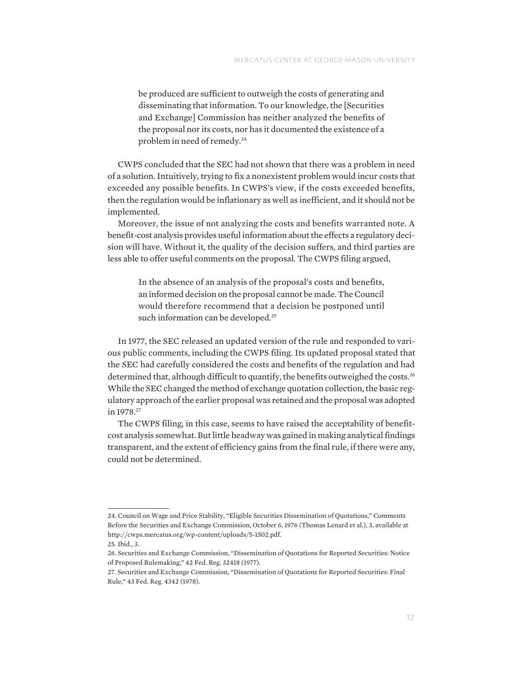be produced are sufficient to outweigh the costs of generating and disseminating that information. To our knowledge, the [Securities and Exchange] Commission has neither analyzed the benefits of the proposal nor its costs, nor has it documented the existence of a problem in need of remedy.24

CWPS concluded that the SEC had not shown that there was a problem in need of a solution. Intuitively, trying to fix a nonexistent problem would incur costs that exceeded any possible benefits. In CWPS's view, if the costs exceeded benefits, then the regulation would be inflationary as well as inefficient, and it should not be implemented.

Moreover, the issue of not analyzing the costs and benefits warranted note. A benefit-cost analysis provides useful information about the effects a regulatory decision will have. Without it, the quality of the decision suffers, and third parties are less able to offer useful comments on the proposal. The CWPS filing argued,

In the absence of an analysis of the proposal's costs and benefits, an informed decision on the proposal cannot be made. The Council would therefore recommend that a decision be postponed until such information can be developed.<sup>25</sup>

In 1977, the SEC released an updated version of the rule and responded to various public comments, including the CWPS filing. Its updated proposal stated that the SEC had carefully considered the costs and benefits of the regulation and had determined that, although difficult to quantify, the benefits outweighed the costs.<sup>26</sup> While the SEC changed the method of exchange quotation collection, the basic regulatory approach of the earlier proposal was retained and the proposal was adopted in 1978.<sup>27</sup>

The CWPS filing, in this case, seems to have raised the acceptability of benefitcost analysis somewhat. But little headway was gained in making analytical findings transparent, and the extent of efficiency gains from the final rule, if there were any, could not be determined.

<sup>24.</sup> Council on Wage and Price Stability, "Eligible Securities Dissemination of Quotations," Comments Before the Securities and Exchange Commission, October 6, 1976 (Thomas Lenard et al.), 3, available at [http://cwps.mercatus.org/wp-content/uploads/5-1502.pdf.](http://cwps.mercatus.org/wp-content/uploads/5-1502.pdf)

<sup>25.</sup> Ibid., 3.

<sup>26.</sup> Securities and Exchange Commission, "Dissemination of Quotations for Reported Securities: Notice of Proposed Rulemaking," 42 Fed. Reg. 32418 (1977).

<sup>27.</sup> Securities and Exchange Commission, "Dissemination of Quotations for Reported Securities: Final Rule," 43 Fed. Reg. 4342 (1978).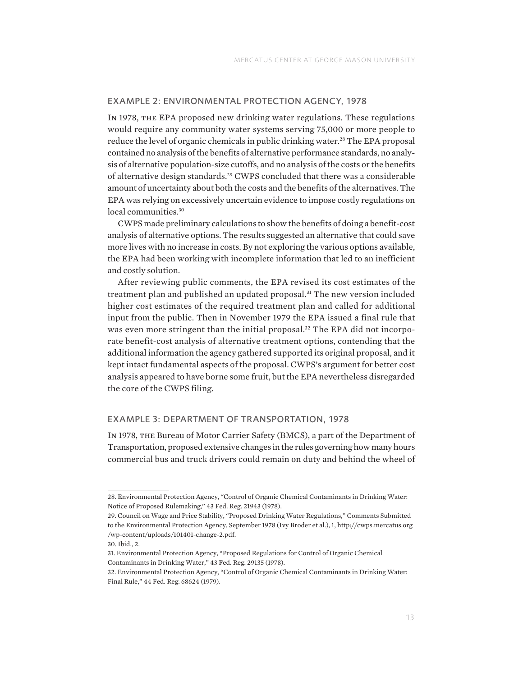#### EXAMPLE 2: ENVIRONMENTAL PROTECTION AGENCY, 1978

In 1978, the EPA proposed new drinking water regulations. These regulations would require any community water systems serving 75,000 or more people to reduce the level of organic chemicals in public drinking water.<sup>28</sup> The EPA proposal contained no analysis of the benefits of alternative performance standards, no analysis of alternative population-size cutoffs, and no analysis of the costs or the benefits of alternative design standards.29 CWPS concluded that there was a considerable amount of uncertainty about both the costs and the benefits of the alternatives. The EPA was relying on excessively uncertain evidence to impose costly regulations on local communities.<sup>30</sup>

CWPS made preliminary calculations to show the benefits of doing a benefit-cost analysis of alternative options. The results suggested an alternative that could save more lives with no increase in costs. By not exploring the various options available, the EPA had been working with incomplete information that led to an inefficient and costly solution.

After reviewing public comments, the EPA revised its cost estimates of the treatment plan and published an updated proposal.<sup>31</sup> The new version included higher cost estimates of the required treatment plan and called for additional input from the public. Then in November 1979 the EPA issued a final rule that was even more stringent than the initial proposal.<sup>32</sup> The EPA did not incorporate benefit-cost analysis of alternative treatment options, contending that the additional information the agency gathered supported its original proposal, and it kept intact fundamental aspects of the proposal. CWPS's argument for better cost analysis appeared to have borne some fruit, but the EPA nevertheless disregarded the core of the CWPS filing.

### EXAMPLE 3: DEPARTMENT OF TRANSPORTATION, 1978

In 1978, the Bureau of Motor Carrier Safety (BMCS), a part of the Department of Transportation, proposed extensive changes in the rules governing how many hours commercial bus and truck drivers could remain on duty and behind the wheel of

<sup>28.</sup> Environmental Protection Agency, "Control of Organic Chemical Contaminants in Drinking Water: Notice of Proposed Rulemaking," 43 Fed. Reg. 21943 (1978).

<sup>29.</sup> Council on Wage and Price Stability, "Proposed Drinking Water Regulations," Comments Submitted to the Environmental Protection Agency, September 1978 (Ivy Broder et al.), 1, [http://cwps.mercatus.org](http://cwps.mercatus.org/wp-content/uploads/101401-change-2.pdf) [/wp-content/uploads/101401-change-2.pdf.](http://cwps.mercatus.org/wp-content/uploads/101401-change-2.pdf)

<sup>30.</sup> Ibid., 2.

<sup>31.</sup> Environmental Protection Agency, "Proposed Regulations for Control of Organic Chemical Contaminants in Drinking Water," 43 Fed. Reg. 29135 (1978).

<sup>32.</sup> Environmental Protection Agency, "Control of Organic Chemical Contaminants in Drinking Water: Final Rule," 44 Fed. Reg. 68624 (1979).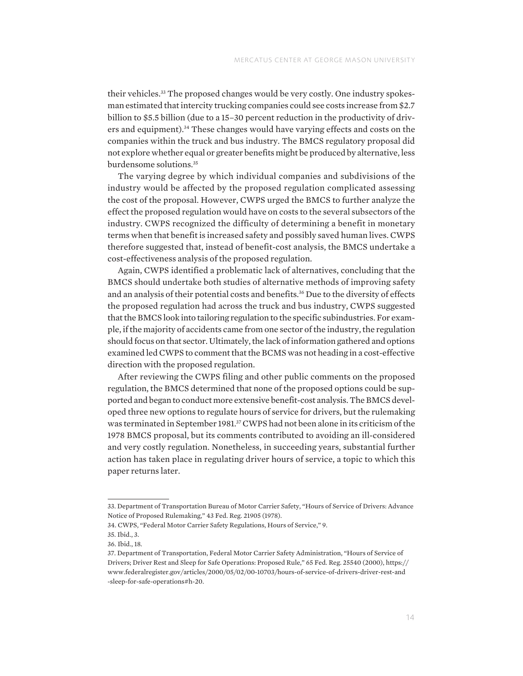their vehicles.<sup>33</sup> The proposed changes would be very costly. One industry spokesman estimated that intercity trucking companies could see costs increase from \$2.7 billion to \$5.5 billion (due to a 15–30 percent reduction in the productivity of drivers and equipment).<sup>34</sup> These changes would have varying effects and costs on the companies within the truck and bus industry. The BMCS regulatory proposal did not explore whether equal or greater benefits might be produced by alternative, less burdensome solutions.<sup>35</sup>

The varying degree by which individual companies and subdivisions of the industry would be affected by the proposed regulation complicated assessing the cost of the proposal. However, CWPS urged the BMCS to further analyze the effect the proposed regulation would have on costs to the several subsectors of the industry. CWPS recognized the difficulty of determining a benefit in monetary terms when that benefit is increased safety and possibly saved human lives. CWPS therefore suggested that, instead of benefit-cost analysis, the BMCS undertake a cost-effectiveness analysis of the proposed regulation.

Again, CWPS identified a problematic lack of alternatives, concluding that the BMCS should undertake both studies of alternative methods of improving safety and an analysis of their potential costs and benefits.36 Due to the diversity of effects the proposed regulation had across the truck and bus industry, CWPS suggested that the BMCS look into tailoring regulation to the specific subindustries. For example, if the majority of accidents came from one sector of the industry, the regulation should focus on that sector. Ultimately, the lack of information gathered and options examined led CWPS to comment that the BCMS was not heading in a cost-effective direction with the proposed regulation.

After reviewing the CWPS filing and other public comments on the proposed regulation, the BMCS determined that none of the proposed options could be supported and began to conduct more extensive benefit-cost analysis. The BMCS developed three new options to regulate hours of service for drivers, but the rulemaking was terminated in September 1981.37 CWPS had not been alone in its criticism of the 1978 BMCS proposal, but its comments contributed to avoiding an ill-considered and very costly regulation. Nonetheless, in succeeding years, substantial further action has taken place in regulating driver hours of service, a topic to which this paper returns later.

<sup>33.</sup> Department of Transportation Bureau of Motor Carrier Safety, "Hours of Service of Drivers: Advance Notice of Proposed Rulemaking," 43 Fed. Reg. 21905 (1978).

<sup>34.</sup> CWPS, "Federal Motor Carrier Safety Regulations, Hours of Service," 9.

<sup>35.</sup> Ibid., 3.

<sup>36.</sup> Ibid., 18.

<sup>37.</sup> Department of Transportation, Federal Motor Carrier Safety Administration, "Hours of Service of Drivers; Driver Rest and Sleep for Safe Operations: Proposed Rule," 65 Fed. Reg. 25540 (2000), [https://](https://www.federalregister.gov/articles/2000/05/02/00-10703/hours-of-service-of-drivers-driver-rest-and-sleep-for-safe-operations#h-20) [www.federalregister.gov/articles/2000/05/02/00-10703/hours-of-service-of-drivers-driver-rest-and](https://www.federalregister.gov/articles/2000/05/02/00-10703/hours-of-service-of-drivers-driver-rest-and-sleep-for-safe-operations#h-20) [-sleep-for-safe-operations#h-20](https://www.federalregister.gov/articles/2000/05/02/00-10703/hours-of-service-of-drivers-driver-rest-and-sleep-for-safe-operations#h-20).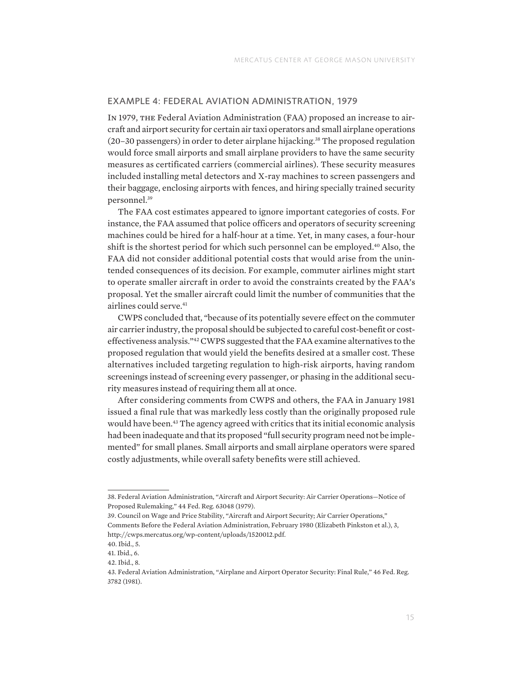### EXAMPLE 4: FEDERAL AVIATION ADMINISTRATION, 1979

In 1979, the Federal Aviation Administration (FAA) proposed an increase to aircraft and airport security for certain air taxi operators and small airplane operations (20–30 passengers) in order to deter airplane hijacking.<sup>38</sup> The proposed regulation would force small airports and small airplane providers to have the same security measures as certificated carriers (commercial airlines). These security measures included installing metal detectors and X-ray machines to screen passengers and their baggage, enclosing airports with fences, and hiring specially trained security personnel.39

The FAA cost estimates appeared to ignore important categories of costs. For instance, the FAA assumed that police officers and operators of security screening machines could be hired for a half-hour at a time. Yet, in many cases, a four-hour shift is the shortest period for which such personnel can be employed.40 Also, the FAA did not consider additional potential costs that would arise from the unintended consequences of its decision. For example, commuter airlines might start to operate smaller aircraft in order to avoid the constraints created by the FAA's proposal. Yet the smaller aircraft could limit the number of communities that the airlines could serve.<sup>41</sup>

CWPS concluded that, "because of its potentially severe effect on the commuter air carrier industry, the proposal should be subjected to careful cost-benefit or costeffectiveness analysis."42 CWPS suggested that the FAA examine alternatives to the proposed regulation that would yield the benefits desired at a smaller cost. These alternatives included targeting regulation to high-risk airports, having random screenings instead of screening every passenger, or phasing in the additional security measures instead of requiring them all at once.

After considering comments from CWPS and others, the FAA in January 1981 issued a final rule that was markedly less costly than the originally proposed rule would have been.43 The agency agreed with critics that its initial economic analysis had been inadequate and that its proposed "full security program need not be implemented" for small planes. Small airports and small airplane operators were spared costly adjustments, while overall safety benefits were still achieved.

<sup>38.</sup> Federal Aviation Administration, "Aircraft and Airport Security: Air Carrier Operations—Notice of Proposed Rulemaking," 44 Fed. Reg. 63048 (1979).

<sup>39.</sup> Council on Wage and Price Stability, "Aircraft and Airport Security; Air Carrier Operations," Comments Before the Federal Aviation Administration, February 1980 (Elizabeth Pinkston et al.), 3, [http://cwps.mercatus.org/wp-content/uploads/1520012.pdf.](http://cwps.mercatus.org/wp-content/uploads/1520012.pdf)

<sup>40.</sup> Ibid., 5.

<sup>41.</sup> Ibid., 6.

<sup>42.</sup> Ibid., 8.

<sup>43.</sup> Federal Aviation Administration, "Airplane and Airport Operator Security: Final Rule," 46 Fed. Reg. 3782 (1981).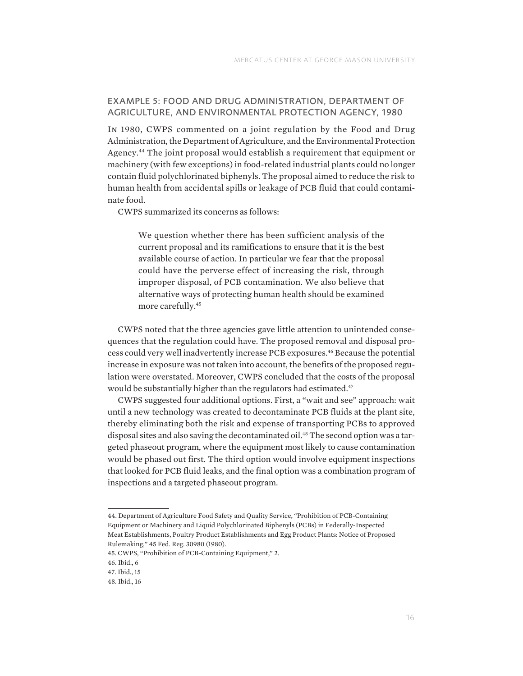# EXAMPLE 5: FOOD AND DRUG ADMINISTRATION, DEPARTMENT OF AGRICULTURE, AND ENVIRONMENTAL PROTECTION AGENCY, 1980

In 1980, CWPS commented on a joint regulation by the Food and Drug Administration, the Department of Agriculture, and the Environmental Protection Agency.44 The joint proposal would establish a requirement that equipment or machinery (with few exceptions) in food-related industrial plants could no longer contain fluid polychlorinated biphenyls. The proposal aimed to reduce the risk to human health from accidental spills or leakage of PCB fluid that could contaminate food.

CWPS summarized its concerns as follows:

We question whether there has been sufficient analysis of the current proposal and its ramifications to ensure that it is the best available course of action. In particular we fear that the proposal could have the perverse effect of increasing the risk, through improper disposal, of PCB contamination. We also believe that alternative ways of protecting human health should be examined more carefully.45

CWPS noted that the three agencies gave little attention to unintended consequences that the regulation could have. The proposed removal and disposal process could very well inadvertently increase PCB exposures.46 Because the potential increase in exposure was not taken into account, the benefits of the proposed regulation were overstated. Moreover, CWPS concluded that the costs of the proposal would be substantially higher than the regulators had estimated.<sup>47</sup>

CWPS suggested four additional options. First, a "wait and see" approach: wait until a new technology was created to decontaminate PCB fluids at the plant site, thereby eliminating both the risk and expense of transporting PCBs to approved disposal sites and also saving the decontaminated oil.<sup>48</sup> The second option was a targeted phaseout program, where the equipment most likely to cause contamination would be phased out first. The third option would involve equipment inspections that looked for PCB fluid leaks, and the final option was a combination program of inspections and a targeted phaseout program.

44. Department of Agriculture Food Safety and Quality Service, "Prohibition of PCB-Containing Equipment or Machinery and Liquid Polychlorinated Biphenyls (PCBs) in Federally-Inspected Meat Establishments, Poultry Product Establishments and Egg Product Plants: Notice of Proposed Rulemaking," 45 Fed. Reg. 30980 (1980).

<sup>45.</sup> CWPS, "Prohibition of PCB-Containing Equipment," 2.

<sup>46.</sup> Ibid., 6

<sup>47.</sup> Ibid., 15

<sup>48.</sup> Ibid., 16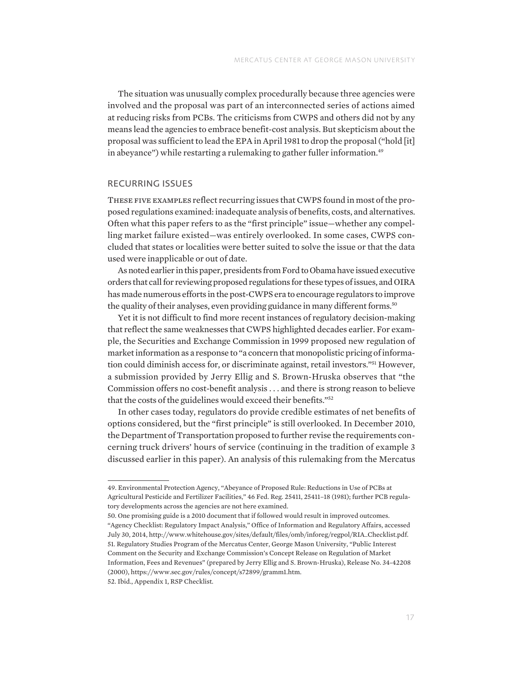The situation was unusually complex procedurally because three agencies were involved and the proposal was part of an interconnected series of actions aimed at reducing risks from PCBs. The criticisms from CWPS and others did not by any means lead the agencies to embrace benefit-cost analysis. But skepticism about the proposal was sufficient to lead the EPA in April 1981 to drop the proposal ("hold [it] in abeyance") while restarting a rulemaking to gather fuller information.<sup>49</sup>

### RECURRING ISSUES

These five examples reflect recurring issues that CWPS found in most of the proposed regulations examined: inadequate analysis of benefits, costs, and alternatives. Often what this paper refers to as the "first principle" issue—whether any compelling market failure existed—was entirely overlooked. In some cases, CWPS concluded that states or localities were better suited to solve the issue or that the data used were inapplicable or out of date.

As noted earlier in this paper, presidents from Ford to Obama have issued executive orders that call for reviewing proposed regulations for these types of issues, and OIRA has made numerous efforts in the post-CWPS era to encourage regulators to improve the quality of their analyses, even providing guidance in many different forms.<sup>50</sup>

Yet it is not difficult to find more recent instances of regulatory decision-making that reflect the same weaknesses that CWPS highlighted decades earlier. For example, the Securities and Exchange Commission in 1999 proposed new regulation of market information as a response to "a concern that monopolistic pricing of information could diminish access for, or discriminate against, retail investors."51 However, a submission provided by Jerry Ellig and S. Brown-Hruska observes that "the Commission offers no cost-benefit analysis . . . and there is strong reason to believe that the costs of the guidelines would exceed their benefits."52

In other cases today, regulators do provide credible estimates of net benefits of options considered, but the "first principle" is still overlooked. In December 2010, the Department of Transportation proposed to further revise the requirements concerning truck drivers' hours of service (continuing in the tradition of example 3 discussed earlier in this paper). An analysis of this rulemaking from the Mercatus

52. Ibid., Appendix 1, RSP Checklist.

<sup>49.</sup> Environmental Protection Agency, "Abeyance of Proposed Rule: Reductions in Use of PCBs at Agricultural Pesticide and Fertilizer Facilities," 46 Fed. Reg. 25411, 25411–18 (1981); further PCB regulatory developments across the agencies are not here examined.

<sup>50.</sup> One promising guide is a 2010 document that if followed would result in improved outcomes. "Agency Checklist: Regulatory Impact Analysis," Office of Information and Regulatory Affairs, accessed July 30, 2014, [http://www.whitehouse.gov/sites/default/files/omb/inforeg/regpol/RIA\\_Checklist.pdf.](http://www.whitehouse.gov/sites/default/files/omb/inforeg/regpol/RIA_Checklist.pdf) 51. Regulatory Studies Program of the Mercatus Center, George Mason University, "Public Interest Comment on the Security and Exchange Commission's Concept Release on Regulation of Market Information, Fees and Revenues" (prepared by Jerry Ellig and S. Brown-Hruska), Release No. 34-42208 (2000), [https://www.sec.gov/rules/concept/s72899/gramm1.htm.](https://www.sec.gov/rules/concept/s72899/gramm1.htm)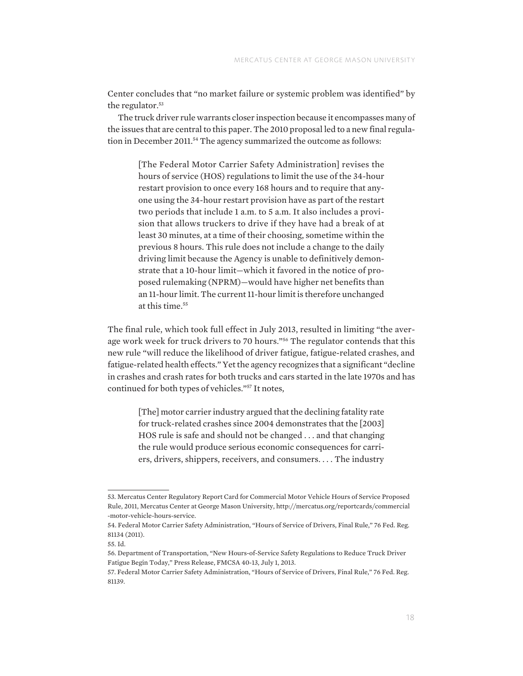Center concludes that "no market failure or systemic problem was identified" by the regulator.<sup>53</sup>

The truck driver rule warrants closer inspection because it encompasses many of the issues that are central to this paper. The 2010 proposal led to a new final regulation in December 2011.<sup>54</sup> The agency summarized the outcome as follows:

[The Federal Motor Carrier Safety Administration] revises the hours of service (HOS) regulations to limit the use of the 34-hour restart provision to once every 168 hours and to require that anyone using the 34-hour restart provision have as part of the restart two periods that include 1 a.m. to 5 a.m. It also includes a provision that allows truckers to drive if they have had a break of at least 30 minutes, at a time of their choosing, sometime within the previous 8 hours. This rule does not include a change to the daily driving limit because the Agency is unable to definitively demonstrate that a 10-hour limit—which it favored in the notice of proposed rulemaking (NPRM)—would have higher net benefits than an 11-hour limit. The current 11-hour limit is therefore unchanged at this time.<sup>55</sup>

The final rule, which took full effect in July 2013, resulted in limiting "the average work week for truck drivers to 70 hours."56 The regulator contends that this new rule "will reduce the likelihood of driver fatigue, fatigue-related crashes, and fatigue-related health effects." Yet the agency recognizes that a significant "decline in crashes and crash rates for both trucks and cars started in the late 1970s and has continued for both types of vehicles."57 It notes,

[The] motor carrier industry argued that the declining fatality rate for truck-related crashes since 2004 demonstrates that the [2003] HOS rule is safe and should not be changed . . . and that changing the rule would produce serious economic consequences for carriers, drivers, shippers, receivers, and consumers. . . . The industry

<sup>53.</sup> Mercatus Center Regulatory Report Card for Commercial Motor Vehicle Hours of Service Proposed Rule, 2011, Mercatus Center at George Mason University, [http://mercatus.org/reportcards/commercial](http://mercatus.org/reportcards/commercial-motor-vehicle-hours-service) [-motor-vehicle-hours-service](http://mercatus.org/reportcards/commercial-motor-vehicle-hours-service).

<sup>54.</sup> Federal Motor Carrier Safety Administration, "Hours of Service of Drivers, Final Rule," 76 Fed. Reg. 81134 (2011).

<sup>55.</sup> Id.

<sup>56.</sup> Department of Transportation, "New Hours-of-Service Safety Regulations to Reduce Truck Driver Fatigue Begin Today," Press Release, FMCSA 40-13, July 1, 2013.

<sup>57.</sup> Federal Motor Carrier Safety Administration, "Hours of Service of Drivers, Final Rule," 76 Fed. Reg. 81139.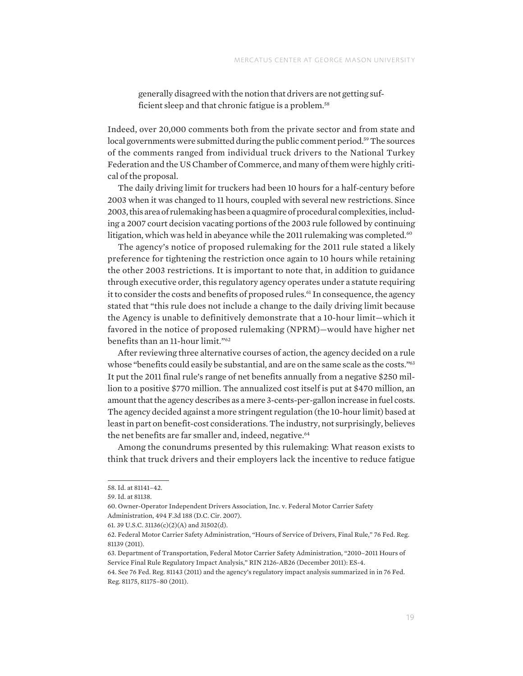generally disagreed with the notion that drivers are not getting sufficient sleep and that chronic fatigue is a problem.<sup>58</sup>

Indeed, over 20,000 comments both from the private sector and from state and local governments were submitted during the public comment period.<sup>59</sup> The sources of the comments ranged from individual truck drivers to the National Turkey Federation and the US Chamber of Commerce, and many of them were highly critical of the proposal.

The daily driving limit for truckers had been 10 hours for a half-century before 2003 when it was changed to 11 hours, coupled with several new restrictions. Since 2003, this area of rulemaking has been a quagmire of procedural complexities, including a 2007 court decision vacating portions of the 2003 rule followed by continuing litigation, which was held in abeyance while the 2011 rulemaking was completed.<sup>60</sup>

The agency's notice of proposed rulemaking for the 2011 rule stated a likely preference for tightening the restriction once again to 10 hours while retaining the other 2003 restrictions. It is important to note that, in addition to guidance through executive order, this regulatory agency operates under a statute requiring it to consider the costs and benefits of proposed rules.<sup>61</sup> In consequence, the agency stated that "this rule does not include a change to the daily driving limit because the Agency is unable to definitively demonstrate that a 10-hour limit—which it favored in the notice of proposed rulemaking (NPRM)—would have higher net benefits than an 11-hour limit."62

After reviewing three alternative courses of action, the agency decided on a rule whose "benefits could easily be substantial, and are on the same scale as the costs."<sup>63</sup> It put the 2011 final rule's range of net benefits annually from a negative \$250 million to a positive \$770 million. The annualized cost itself is put at \$470 million, an amount that the agency describes as a mere 3-cents-per-gallon increase in fuel costs. The agency decided against a more stringent regulation (the 10-hour limit) based at least in part on benefit-cost considerations. The industry, not surprisingly, believes the net benefits are far smaller and, indeed, negative.<sup>64</sup>

Among the conundrums presented by this rulemaking: What reason exists to think that truck drivers and their employers lack the incentive to reduce fatigue

<sup>58.</sup> Id. at 81141–42.

<sup>59.</sup> Id. at 81138.

<sup>60.</sup> Owner-Operator Independent Drivers Association, Inc. v. Federal Motor Carrier Safety Administration, 494 F.3d 188 (D.C. Cir. 2007).

<sup>61. 39</sup> U.S.C. 31136(c)(2)(A) and 31502(d).

<sup>62.</sup> Federal Motor Carrier Safety Administration, "Hours of Service of Drivers, Final Rule," 76 Fed. Reg. 81139 (2011).

<sup>63.</sup> Department of Transportation, Federal Motor Carrier Safety Administration, "2010–2011 Hours of Service Final Rule Regulatory Impact Analysis," RIN 2126-AB26 (December 2011): ES-4.

<sup>64.</sup> See 76 Fed. Reg. 81143 (2011) and the agency's regulatory impact analysis summarized in in 76 Fed. Reg. 81175, 81175–80 (2011).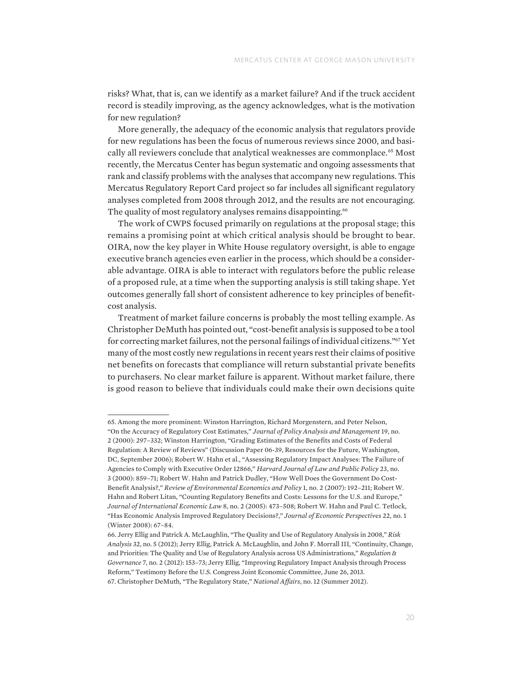risks? What, that is, can we identify as a market failure? And if the truck accident record is steadily improving, as the agency acknowledges, what is the motivation for new regulation?

More generally, the adequacy of the economic analysis that regulators provide for new regulations has been the focus of numerous reviews since 2000, and basically all reviewers conclude that analytical weaknesses are commonplace.<sup>65</sup> Most recently, the Mercatus Center has begun systematic and ongoing assessments that rank and classify problems with the analyses that accompany new regulations. This Mercatus Regulatory Report Card project so far includes all significant regulatory analyses completed from 2008 through 2012, and the results are not encouraging. The quality of most regulatory analyses remains disappointing.<sup>66</sup>

The work of CWPS focused primarily on regulations at the proposal stage; this remains a promising point at which critical analysis should be brought to bear. OIRA, now the key player in White House regulatory oversight, is able to engage executive branch agencies even earlier in the process, which should be a considerable advantage. OIRA is able to interact with regulators before the public release of a proposed rule, at a time when the supporting analysis is still taking shape. Yet outcomes generally fall short of consistent adherence to key principles of benefitcost analysis.

Treatment of market failure concerns is probably the most telling example. As Christopher DeMuth has pointed out, "cost-benefit analysis is supposed to be a tool for correcting market failures, not the personal failings of individual citizens."67 Yet many of the most costly new regulations in recent years rest their claims of positive net benefits on forecasts that compliance will return substantial private benefits to purchasers. No clear market failure is apparent. Without market failure, there is good reason to believe that individuals could make their own decisions quite

<sup>65.</sup> Among the more prominent: Winston Harrington, Richard Morgenstern, and Peter Nelson, "On the Accuracy of Regulatory Cost Estimates," *Journal of Policy Analysis and Management* 19, no.

<sup>2 (2000): 297–332;</sup> Winston Harrington, "Grading Estimates of the Benefits and Costs of Federal Regulation: A Review of Reviews" (Discussion Paper 06-39, Resources for the Future, Washington, DC, September 2006); Robert W. Hahn et al., "Assessing Regulatory Impact Analyses: The Failure of Agencies to Comply with Executive Order 12866," *Harvard Journal of Law and Public Policy* 23, no. 3 (2000): 859–71; Robert W. Hahn and Patrick Dudley, "How Well Does the Government Do Cost-Benefit Analysis?," *Review of Environmental Economics and Policy* 1, no. 2 (2007): 192–211; Robert W. Hahn and Robert Litan, "Counting Regulatory Benefits and Costs: Lessons for the U.S. and Europe," *Journal of International Economic Law* 8, no. 2 (2005): 473–508; Robert W. Hahn and Paul C. Tetlock, "Has Economic Analysis Improved Regulatory Decisions?," *Journal of Economic Perspectives* 22, no. 1 (Winter 2008): 67–84.

<sup>66.</sup> Jerry Ellig and Patrick A. McLaughlin, "The Quality and Use of Regulatory Analysis in 2008," *Risk Analysis* 32, no. 5 (2012); Jerry Ellig, Patrick A. McLaughlin, and John F. Morrall III, "Continuity, Change, and Priorities: The Quality and Use of Regulatory Analysis across US Administrations," *Regulation & Governance* 7, no. 2 (2012): 153–73; Jerry Ellig, "Improving Regulatory Impact Analysis through Process Reform," Testimony Before the U.S. Congress Joint Economic Committee, June 26, 2013. 67. Christopher DeMuth, "The Regulatory State," *National Affairs*, no. 12 (Summer 2012).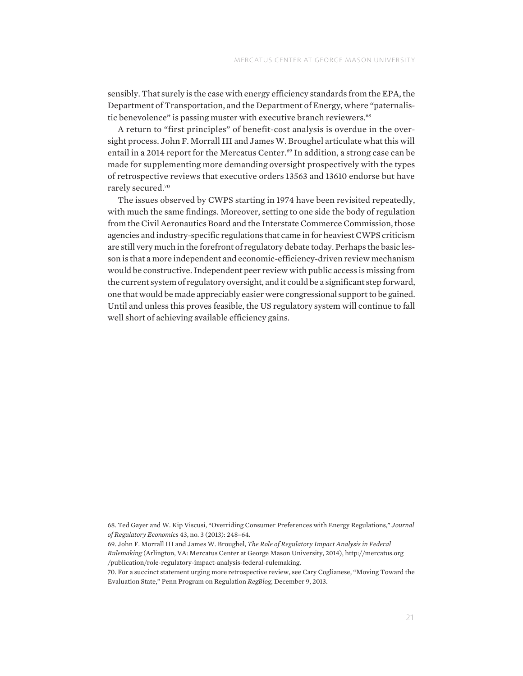sensibly. That surely is the case with energy efficiency standards from the EPA, the Department of Transportation, and the Department of Energy, where "paternalistic benevolence" is passing muster with executive branch reviewers.<sup>68</sup>

A return to "first principles" of benefit-cost analysis is overdue in the oversight process. John F. Morrall III and James W. Broughel articulate what this will entail in a 2014 report for the Mercatus Center.<sup>69</sup> In addition, a strong case can be made for supplementing more demanding oversight prospectively with the types of retrospective reviews that executive orders 13563 and 13610 endorse but have rarely secured.70

The issues observed by CWPS starting in 1974 have been revisited repeatedly, with much the same findings. Moreover, setting to one side the body of regulation from the Civil Aeronautics Board and the Interstate Commerce Commission, those agencies and industry-specific regulations that came in for heaviest CWPS criticism are still very much in the forefront of regulatory debate today. Perhaps the basic lesson is that a more independent and economic-efficiency-driven review mechanism would be constructive. Independent peer review with public access is missing from the current system of regulatory oversight, and it could be a significant step forward, one that would be made appreciably easier were congressional support to be gained. Until and unless this proves feasible, the US regulatory system will continue to fall well short of achieving available efficiency gains.

<sup>68.</sup> Ted Gayer and W. Kip Viscusi, "Overriding Consumer Preferences with Energy Regulations," *Journal of Regulatory Economics* 43, no. 3 (2013): 248–64.

<sup>69.</sup> John F. Morrall III and James W. Broughel, *The Role of Regulatory Impact Analysis in Federal Rulemaking* (Arlington, VA: Mercatus Center at George Mason University, 2014), [http://mercatus.org](http://mercatus.org/publication/role-regulatory-impact-analysis-federal-rulemaking)

[<sup>/</sup>publication/role-regulatory-impact-analysis-federal-rulemaking.](http://mercatus.org/publication/role-regulatory-impact-analysis-federal-rulemaking)

<sup>70.</sup> For a succinct statement urging more retrospective review, see Cary Coglianese, "Moving Toward the Evaluation State," Penn Program on Regulation *RegBlog*, December 9, 2013.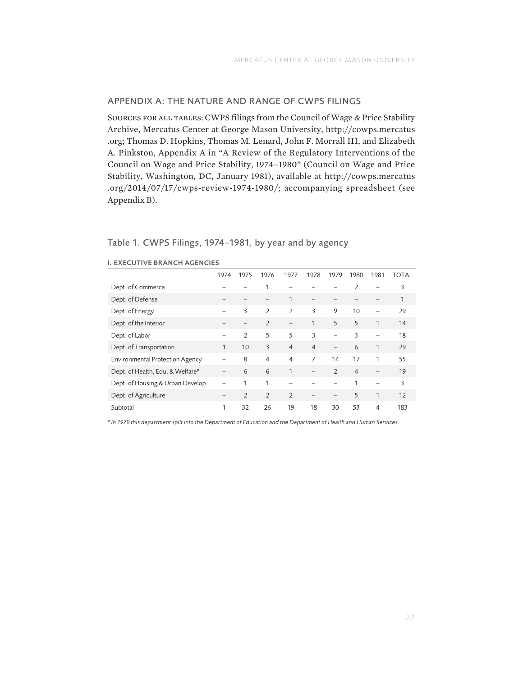#### APPENDIX A: THE NATURE AND RANGE OF CWPS FILINGS

Sources for all tables: CWPS filings from the Council of Wage & Price Stability Archive, Mercatus Center at George Mason University, [http://cowps.mercatus](http://cowps.mercatus.org) [.org;](http://cowps.mercatus.org) Thomas D. Hopkins, Thomas M. Lenard, John F. Morrall III, and Elizabeth A. Pinkston, Appendix A in "A Review of the Regulatory Interventions of the Council on Wage and Price Stability, 1974–1980" (Council on Wage and Price Stability, Washington, DC, January 1981), available at [http://cowps.mercatus](http://cowps.mercatus.org/2014/07/17/cwps-review-1974-1980/) [.org/2014/07/17/cwps-review-1974-1980/;](http://cowps.mercatus.org/2014/07/17/cwps-review-1974-1980/) accompanying spreadsheet (see Appendix B).

#### Table 1. CWPS Filings, 1974–1981, by year and by agency

|                                        | 1974                     | 1975          | 1976           | 1977                     | 1978                     | 1979                     | 1980           | 1981                     | TOTAL |
|----------------------------------------|--------------------------|---------------|----------------|--------------------------|--------------------------|--------------------------|----------------|--------------------------|-------|
| Dept. of Commerce                      |                          |               |                |                          |                          |                          | $\overline{2}$ |                          | 3     |
| Dept. of Defense                       |                          |               |                | 1                        |                          |                          |                |                          | 1     |
| Dept. of Energy                        | $\overline{\phantom{0}}$ | 3             | $\overline{2}$ | $\overline{2}$           | 3                        | 9                        | 10             | $\overline{\phantom{0}}$ | 29    |
| Dept. of the Interior                  |                          |               | $\mathcal{L}$  | $\overline{\phantom{0}}$ | 1                        | 5                        | 5              | 1                        | 14    |
| Dept. of Labor                         | $\overline{\phantom{0}}$ | $\mathcal{L}$ | 5              | 5                        | 3                        |                          | 3              |                          | 18    |
| Dept. of Transportation                | 1                        | 10            | 3              | $\overline{4}$           | $\overline{4}$           | $\overline{\phantom{0}}$ | 6              |                          | 29    |
| <b>Environmental Protection Agency</b> |                          | 8             | $\overline{4}$ | $\overline{4}$           | 7                        | 14                       | 17             | 1                        | 55    |
| Dept. of Health, Edu. & Welfare*       | $\overline{\phantom{0}}$ | 6             | 6              | $\mathbf{1}$             | $\overline{\phantom{0}}$ | $\mathcal{L}$            | $\overline{4}$ |                          | 19    |
| Dept. of Housing & Urban Develop.      |                          | 1             |                |                          |                          |                          | 1              |                          | 3     |
| Dept. of Agriculture                   | $\overline{\phantom{0}}$ | $\mathcal{L}$ | $\mathcal{L}$  | $\overline{2}$           | $\overline{\phantom{0}}$ |                          | 5              | 1                        | 12    |
| Subtotal                               | 1                        | 32            | 26             | 19                       | 18                       | 30                       | 53             | $\overline{4}$           | 183   |

#### I. EXECUTIVE BRANCH AGENCIES

*\* In 1979 this department split into the Department of Education and the Department of Health and Human Services.*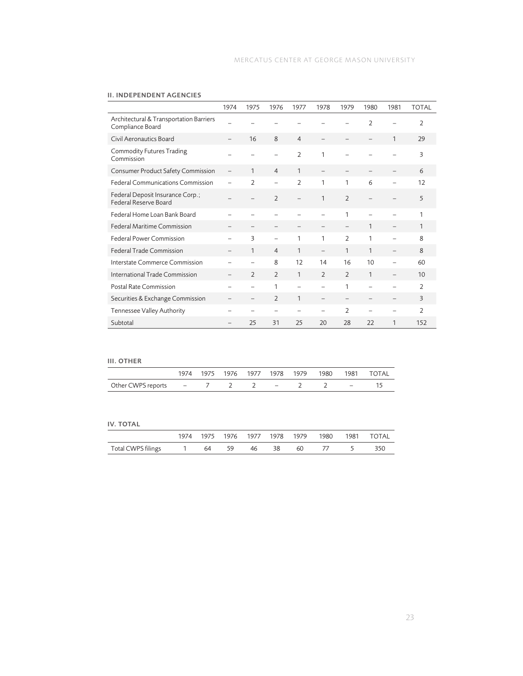|                                                             | 1974 | 1975                     | 1976                     | 1977                     | 1978                     | 1979                     | 1980                     | 1981                     | <b>TOTAL</b>   |
|-------------------------------------------------------------|------|--------------------------|--------------------------|--------------------------|--------------------------|--------------------------|--------------------------|--------------------------|----------------|
| Architectural & Transportation Barriers<br>Compliance Board |      |                          |                          |                          |                          |                          | $\overline{2}$           |                          | $\overline{2}$ |
| Civil Aeronautics Board                                     |      | 16                       | 8                        | $\overline{4}$           |                          |                          |                          | 1                        | 29             |
| Commodity Futures Trading<br>Commission                     |      |                          |                          | $\overline{2}$           | 1                        |                          |                          |                          | 3              |
| Consumer Product Safety Commission                          |      | $\mathbf{1}$             | $\overline{4}$           | 1                        |                          |                          |                          |                          | 6              |
| <b>Federal Communications Commission</b>                    |      | $\mathcal{P}$            | $\overline{\phantom{0}}$ | $\mathcal{P}$            | 1                        | 1                        | 6                        |                          | 12             |
| Federal Deposit Insurance Corp.;<br>Federal Reserve Board   |      |                          | $\overline{2}$           | $\overline{\phantom{0}}$ | 1                        | $\overline{2}$           |                          |                          | 5              |
| Federal Home Loan Bank Board                                |      |                          |                          |                          |                          | $\mathbf{1}$             |                          |                          | 1              |
| <b>Federal Maritime Commission</b>                          |      |                          | $\overline{\phantom{0}}$ |                          | $\qquad \qquad -$        |                          | 1                        | $\overline{\phantom{0}}$ | 1              |
| Federal Power Commission                                    |      | 3                        | $\overline{\phantom{0}}$ | 1                        | 1                        | $\overline{2}$           | 1                        |                          | $\mathbf{8}$   |
| <b>Federal Trade Commission</b>                             |      | $\mathbf{1}$             | $\overline{4}$           | 1                        | $\overline{\phantom{0}}$ | 1                        | 1                        | $\overline{\phantom{0}}$ | 8              |
| Interstate Commerce Commission                              |      | $\overline{\phantom{0}}$ | 8                        | 12                       | 14                       | 16                       | 10                       |                          | 60             |
| International Trade Commission                              |      | $\overline{2}$           | $\overline{2}$           | 1                        | $\overline{2}$           | $\overline{2}$           | 1                        | $\overline{\phantom{0}}$ | 10             |
| Postal Rate Commission                                      |      | $\overline{\phantom{0}}$ | 1                        | $\overline{\phantom{0}}$ | $\overline{\phantom{0}}$ | 1                        | $\overline{\phantom{0}}$ | $\overline{\phantom{0}}$ | $\overline{2}$ |
| Securities & Exchange Commission                            |      | —                        | $\overline{2}$           | 1                        | $\qquad \qquad -$        | $\overline{\phantom{0}}$ |                          | $\overline{\phantom{0}}$ | $\overline{3}$ |
| Tennessee Valley Authority                                  |      |                          | $\overline{\phantom{0}}$ |                          | -                        | $\overline{2}$           |                          | $\overline{\phantom{0}}$ | $\mathcal{L}$  |
| Subtotal                                                    |      | 25                       | 31                       | 25                       | 20                       | 28                       | 22                       | 1                        | 152            |

#### II. INDEPENDENT AGENCIES

# III. OTHER

| .                                        |  |  |  |  |                                               |
|------------------------------------------|--|--|--|--|-----------------------------------------------|
|                                          |  |  |  |  | 1974 1975 1976 1977 1978 1979 1980 1981 TOTAL |
| Other CWPS reports $-$ 7 2 2 $-$ 2 2 $-$ |  |  |  |  |                                               |
|                                          |  |  |  |  |                                               |

#### IV. TOTAL

|                                                              |  |  |  |  | 1974 1975 1976 1977 1978 1979 1980 1981 TOTAL |
|--------------------------------------------------------------|--|--|--|--|-----------------------------------------------|
| Total CWPS filings $1$ 64   59   46   38   60   77   5   350 |  |  |  |  |                                               |

 $\overline{\phantom{a}}$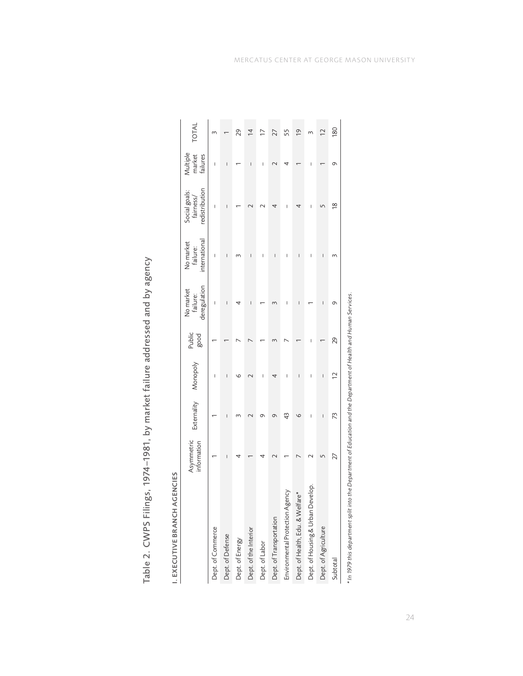| ţ<br>١<br>Ś<br>ï<br>¢<br>١<br>l<br>l<br>)<br>Ś<br>¢                            |
|--------------------------------------------------------------------------------|
| Ś<br>Į<br>₹<br>Ĵ<br>ç<br>¢                                                     |
| ٦<br>S<br>¢<br>١<br>۱<br>v<br>١<br>١<br>¢<br>)<br>ì<br>₹<br>S<br>ī<br>$\sigma$ |
| d<br>١<br>ì<br>ï<br>į<br>I<br>İ<br>١                                           |
| ž<br>l<br>¢<br>١<br>Ï<br>Į                                                     |
| ۳<br>¢<br>ì<br>۱<br>ő<br>ı<br>$\overline{\phantom{a}}$<br>ľ<br>d<br>ŧ          |
| ţ<br>١<br>۵<br>ł<br>Ś<br>ĺ                                                     |
| j<br>١<br>Ĺ<br>Ò<br>۱                                                          |
| Į<br>C<br>d<br>۱<br>Ś<br>ಸ<br>I                                                |

| I. EXECUTIVE BRANCH AGENCIES                                                                                         |                           |                          |                          |                |                                       |                                        |                                              |                                |                |
|----------------------------------------------------------------------------------------------------------------------|---------------------------|--------------------------|--------------------------|----------------|---------------------------------------|----------------------------------------|----------------------------------------------|--------------------------------|----------------|
|                                                                                                                      | Asymmetric<br>information |                          | Externality Monopoly     | Public<br>good | deregulation<br>No market<br>failure: | international<br>No market<br>failure: | redistribution<br>Social goals:<br>fairness/ | Multiple<br>market<br>failures | TOTAL          |
| Dept. of Commerce                                                                                                    |                           |                          |                          |                | I                                     | ı                                      | ı                                            | I                              |                |
| Dept. of Defense                                                                                                     | I                         | $\overline{\phantom{a}}$ | $\overline{\phantom{a}}$ |                | $\begin{array}{c} \hline \end{array}$ | $\begin{array}{c} \hline \end{array}$  | I                                            | I                              |                |
| Dept. of Energy                                                                                                      |                           |                          | ৩                        |                |                                       |                                        |                                              |                                | 29             |
| Dept. of the Interior                                                                                                |                           |                          |                          |                | I                                     | I                                      |                                              | I                              | ₫              |
| Dept. of Labor                                                                                                       |                           | の                        |                          |                |                                       |                                        |                                              |                                | ⊵              |
| Dept. of Transportation                                                                                              |                           |                          |                          |                |                                       | I                                      |                                              |                                | 27             |
| Environmental Protection Agency                                                                                      |                           | 43                       | I                        |                | I                                     | I                                      | I                                            |                                | 55             |
| Dept. of Health, Edu. & Welfare*                                                                                     |                           | G                        | I                        |                | I                                     | I                                      | 4                                            |                                | $\overline{6}$ |
| Dept. of Housing & Urban Develop.                                                                                    |                           | I                        | I                        |                |                                       | I                                      | I                                            |                                |                |
| Dept. of Agriculture                                                                                                 |                           | I                        | ı                        |                | ı                                     | ı                                      |                                              |                                | $\overline{C}$ |
| Subtotal                                                                                                             | 27                        | 73                       | $\overline{C}$           | 29             | Ō                                     | m                                      | $\frac{8}{2}$                                | Ō                              | 180            |
| $^*$ In 1979 this department split into the Department of Education and the Department of Health and Human Services. |                           |                          |                          |                |                                       |                                        |                                              |                                |                |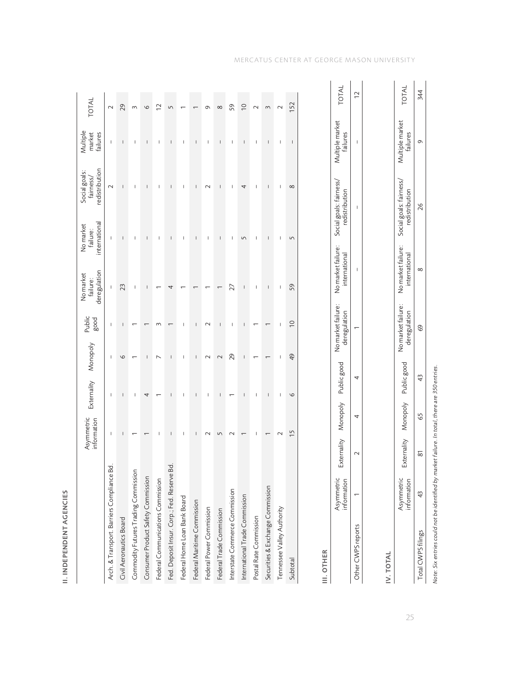|                                             | Asymmetric<br>information | Externality              | Monopoly                 | Public<br>good                     | deregulation<br>No market<br>failure: | international<br>No market<br>failure: | redistribution<br>Social goals:<br>fairness, | Multiple<br>market<br>failures | TOTAL          |
|---------------------------------------------|---------------------------|--------------------------|--------------------------|------------------------------------|---------------------------------------|----------------------------------------|----------------------------------------------|--------------------------------|----------------|
| Arch. & Transport. Barriers Compliance Bd.  | $\mathsf{I}$              | I                        | $\mathsf{I}$             | I                                  | $\mathsf{I}$                          | $\mathsf{I}$                           | $\sim$                                       | $\mathsf I$                    | $\sim$         |
| Civil Aeronautics Board                     | I                         | I                        | $\circ$                  | I                                  | 23                                    | I                                      | I                                            | I                              | 29             |
| Commodity Futures Trading Commission        |                           | I                        |                          |                                    | I                                     | т                                      | т                                            | $\mathsf I$                    | $\sim$         |
| Consumer Product Safety Commission          |                           | 4                        | I                        |                                    | $\overline{1}$                        | I                                      | $\mathsf{I}$                                 | $\overline{\phantom{a}}$       | $\circ$        |
| Federal Communications Commission           | I                         |                          | $\overline{\phantom{0}}$ |                                    |                                       | I                                      | $\overline{\phantom{a}}$                     | $\begin{array}{c} \end{array}$ | $\sim$         |
| Fed. Deposit Insur. Corp.; Fed. Reserve Bd. | $\overline{\phantom{a}}$  | $\overline{1}$           | $\overline{1}$           |                                    | 4                                     | $\overline{\phantom{a}}$               | $\overline{1}$                               | $\overline{\phantom{a}}$       | Ľ              |
| Federal Home Loan Bank Board                | ı                         | I                        | I                        |                                    |                                       | I                                      | $\mathsf{I}$                                 | I                              |                |
| Federal Maritime Commission                 | ı                         | I                        | ı                        |                                    |                                       | I                                      | I                                            | I                              |                |
| Federal Power Commission                    |                           | I                        | $\sim$                   |                                    |                                       | I                                      | $\sim$                                       | I                              | Ō              |
| Federal Trade Commission                    | ∽                         | $\mathsf I$              | $\sim$                   | I                                  |                                       | $\sf I$                                | I                                            | $\mathsf{I}$                   | $\infty$       |
| Interstate Commerce Commission              |                           | ᡕ                        | 29                       | I                                  | 27                                    | $\overline{\phantom{a}}$               | $\overline{\phantom{a}}$                     | $\overline{\phantom{a}}$       | 59             |
| International Trade Commission              |                           | I                        | I                        | I                                  | ı                                     | 5                                      | 4                                            | I                              | $\overline{C}$ |
| Postal Rate Commission                      |                           | $\overline{\phantom{a}}$ |                          |                                    | 1                                     | $\overline{\phantom{a}}$               | $\overline{\phantom{a}}$                     | $\overline{\phantom{a}}$       | $\sim$         |
| Securities & Exchange Commission            |                           | T                        |                          |                                    | I                                     | I                                      | T                                            | I                              | 3              |
| Tennessee Valley Authority                  |                           | ı                        | ı                        |                                    | I                                     | I                                      | ı                                            | $\overline{1}$                 | $\sim$         |
| Subtotal                                    | 15                        | $\circ$                  | $\overline{6}$           | $\overline{C}$                     | 59                                    | $\sqrt{2}$                             | $\infty$                                     | $\overline{\phantom{a}}$       | 152            |
| III. OTHER                                  |                           |                          |                          |                                    |                                       |                                        |                                              |                                |                |
| Asymmetric<br>information                   | Externality               | Monopoly                 | Public good              | No market failure:<br>deregulation | No market failure:<br>international   |                                        | Social goals: fairness/<br>redistribution    | Multiple market<br>failures    | TOTAL          |
| Other CWPS reports                          | $\sim$                    | 4                        | 4                        |                                    |                                       |                                        |                                              |                                | $\overline{C}$ |

II. INDEPENDENT AGENCIES

**II. INDEPENDENT AGENCIES** 

| $-01M$                                     | $\overline{C}$                        |
|--------------------------------------------|---------------------------------------|
| ţ.<br>Š<br>ailures<br>ultinle              | $\begin{array}{c} \hline \end{array}$ |
| uls: tairness<br>Social go <sup>-1</sup>   | $\overline{\phantom{a}}$              |
| No market failure:<br>onal<br>rnai.<br>hte | I                                     |
| lure:<br>in m<br>ă<br>١                    |                                       |
| ς ας<br>ì<br>,                             | j                                     |
| ļ<br>I                                     | Í                                     |
| $\frac{1}{2}$<br>Externa                   | Ó                                     |
| information<br>vmmetr                      |                                       |
|                                            | , reports<br>uner CWP <sup>r</sup>    |

IV. TOTAL IV. TOTAL

| TOTAL                                       | 344      |
|---------------------------------------------|----------|
| Aultiple market<br><b>Failures</b>          | Ō        |
| Social goals: fairness/<br><b>Tribution</b> | 26       |
| lure:<br>international<br>Jo market fail    | $\infty$ |
| ure:<br>eregulation<br>o market fai         | 69       |
| Public good                                 | ά        |
| Nonopoi                                     | S9       |
| vternally<br>ú<br>j                         | 50       |
|                                             |          |
|                                             |          |

Note: Six entries could not be identified by market failure. In total, there are 350 entries. *Note: Six entries could not be identified by market failure. In total, there are 350 entries.*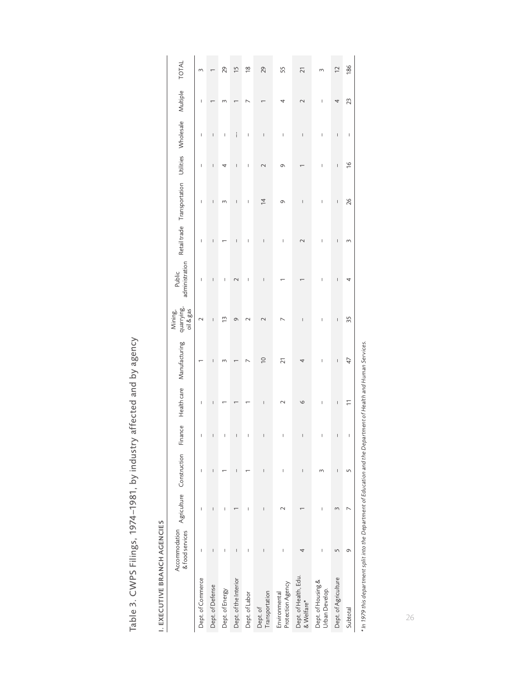| J<br>١<br>Ś<br>I<br>l<br>۱<br>۵<br>ł<br>¢<br>¢<br>Ż<br>7<br>S<br>ç<br>ť               |
|---------------------------------------------------------------------------------------|
| 7<br>S.<br>$\overline{\phantom{a}}$<br>١<br>ł<br>١<br>I<br>I<br>١<br>ţ<br>i<br>٢<br>ï |
| ţ<br>ī<br>ł<br>ţ<br>١<br>ŝ<br>7<br>١                                                  |
| I<br>ì                                                                                |
| ۳<br>١<br>¢<br>$\mathbf \zeta$<br>١<br>ŧ<br>I<br>₹<br>Ì<br>I<br>ö<br>t                |
| t<br>١<br>ł<br>۵<br>ţ<br>l                                                            |
| ţ<br>١<br>I<br>f<br>Ì<br>)                                                            |

| I<br>٠<br>í      |
|------------------|
|                  |
|                  |
| ī                |
| I                |
| í<br>٠<br>۰<br>í |
| 1<br>í           |
|                  |
| ı                |
| ٠                |
| c                |
|                  |
| ŧ<br>ı<br>ī      |
|                  |
| ÷                |
| ř<br>٠           |
|                  |
|                  |
| 5<br>ć<br>i      |
| H                |
| ٠<br>٠<br>۰<br>÷ |

| TOTAL                                                                      | m                 |                  | 29              | 15                                                                                                                                                                                                                                                                                                                                                                               | $\frac{8}{2}$            | 29                         | 55                                 | 21                                  |                                      | $\overline{C}$       | 186                                                                                                                                                                                                                                                                                                                                                                                                            |
|----------------------------------------------------------------------------|-------------------|------------------|-----------------|----------------------------------------------------------------------------------------------------------------------------------------------------------------------------------------------------------------------------------------------------------------------------------------------------------------------------------------------------------------------------------|--------------------------|----------------------------|------------------------------------|-------------------------------------|--------------------------------------|----------------------|----------------------------------------------------------------------------------------------------------------------------------------------------------------------------------------------------------------------------------------------------------------------------------------------------------------------------------------------------------------------------------------------------------------|
| Multiple                                                                   | I                 |                  |                 |                                                                                                                                                                                                                                                                                                                                                                                  |                          |                            |                                    |                                     | I                                    |                      | 23                                                                                                                                                                                                                                                                                                                                                                                                             |
|                                                                            | Ī                 | I                | I               | i                                                                                                                                                                                                                                                                                                                                                                                | I                        | I                          | I                                  | $\overline{\phantom{a}}$            | $\overline{\phantom{a}}$             | I                    | $\begin{array}{c} \rule{0pt}{2ex} \rule{0pt}{2ex} \rule{0pt}{2ex} \rule{0pt}{2ex} \rule{0pt}{2ex} \rule{0pt}{2ex} \rule{0pt}{2ex} \rule{0pt}{2ex} \rule{0pt}{2ex} \rule{0pt}{2ex} \rule{0pt}{2ex} \rule{0pt}{2ex} \rule{0pt}{2ex} \rule{0pt}{2ex} \rule{0pt}{2ex} \rule{0pt}{2ex} \rule{0pt}{2ex} \rule{0pt}{2ex} \rule{0pt}{2ex} \rule{0pt}{2ex} \rule{0pt}{2ex} \rule{0pt}{2ex} \rule{0pt}{2ex} \rule{0pt}{$ |
|                                                                            | Ī                 | ı                | 4               | I                                                                                                                                                                                                                                                                                                                                                                                | I                        |                            | Ō                                  |                                     | I                                    | I                    | $\frac{8}{1}$                                                                                                                                                                                                                                                                                                                                                                                                  |
| Retail trade Transportation Utilities Wholesale                            | ı                 | I                |                 | I                                                                                                                                                                                                                                                                                                                                                                                | I                        | $\overline{1}$             | G                                  | Ï                                   | $\overline{\phantom{a}}$             | I                    | 26                                                                                                                                                                                                                                                                                                                                                                                                             |
|                                                                            | I                 | I                |                 | $\begin{array}{c} \rule{0pt}{2.5ex} \rule{0pt}{2.5ex} \rule{0pt}{2.5ex} \rule{0pt}{2.5ex} \rule{0pt}{2.5ex} \rule{0pt}{2.5ex} \rule{0pt}{2.5ex} \rule{0pt}{2.5ex} \rule{0pt}{2.5ex} \rule{0pt}{2.5ex} \rule{0pt}{2.5ex} \rule{0pt}{2.5ex} \rule{0pt}{2.5ex} \rule{0pt}{2.5ex} \rule{0pt}{2.5ex} \rule{0pt}{2.5ex} \rule{0pt}{2.5ex} \rule{0pt}{2.5ex} \rule{0pt}{2.5ex} \rule{0$ | I                        | $\overline{\phantom{a}}$   | $\overline{\phantom{a}}$           | $\mathbf 2$                         | I                                    | I                    | 3                                                                                                                                                                                                                                                                                                                                                                                                              |
| administration<br>Public                                                   | Ī                 | I                | I               |                                                                                                                                                                                                                                                                                                                                                                                  | I                        | Ī                          |                                    |                                     | I                                    | I                    | 4                                                                                                                                                                                                                                                                                                                                                                                                              |
| quarrying,<br>oil & gas<br>Mining,                                         | $\sim$            | ı                | $\tilde{1}$     | Ò                                                                                                                                                                                                                                                                                                                                                                                |                          |                            |                                    | Ï                                   | $\overline{\phantom{a}}$             | I                    | 35                                                                                                                                                                                                                                                                                                                                                                                                             |
| Manufacturing                                                              |                   | ı                |                 |                                                                                                                                                                                                                                                                                                                                                                                  |                          | $\overline{0}$             | 21                                 | 4                                   | $\overline{\phantom{a}}$             | I                    | 47                                                                                                                                                                                                                                                                                                                                                                                                             |
|                                                                            | Ī                 |                  |                 |                                                                                                                                                                                                                                                                                                                                                                                  |                          | I                          |                                    | 6                                   | $\overline{\phantom{a}}$             | I                    | $\overline{1}$                                                                                                                                                                                                                                                                                                                                                                                                 |
|                                                                            |                   |                  |                 | I                                                                                                                                                                                                                                                                                                                                                                                | I                        |                            | I                                  | Ţ                                   | $\overline{\phantom{a}}$             |                      |                                                                                                                                                                                                                                                                                                                                                                                                                |
|                                                                            | I                 | I                |                 | I                                                                                                                                                                                                                                                                                                                                                                                |                          | I                          | Ī                                  | $\overline{\phantom{a}}$            |                                      | I                    |                                                                                                                                                                                                                                                                                                                                                                                                                |
|                                                                            | I                 | I                | I               |                                                                                                                                                                                                                                                                                                                                                                                  | I                        | I                          |                                    |                                     | I                                    | 3                    |                                                                                                                                                                                                                                                                                                                                                                                                                |
| Accommodation Agriculture Construction Finance Healthcare<br>&foodservices | I                 | I                | I               | I                                                                                                                                                                                                                                                                                                                                                                                | $\overline{\phantom{a}}$ | I                          | I                                  |                                     | $\overline{\phantom{a}}$             |                      | σ                                                                                                                                                                                                                                                                                                                                                                                                              |
|                                                                            | Dept. of Commerce | Dept. of Defense | Dept. of Energy | Dept. of the Interior                                                                                                                                                                                                                                                                                                                                                            | Dept. of Labor           | Transportation<br>Dept. of | Protection Agency<br>Environmental | Dept. of Health, Edu.<br>& Welfare* | Dept. of Housing &<br>Urban Develop. | Dept. of Agriculture | Subtotal                                                                                                                                                                                                                                                                                                                                                                                                       |

\* In 1979 this department split into the Department of Education and the Department of Health and Human Services.<br>\* In 1979 this department split into the Department of Education and the Department of Health and Human Serv *\* In 1979 this department split into the Department of Education and the Department of Health and Human Services.*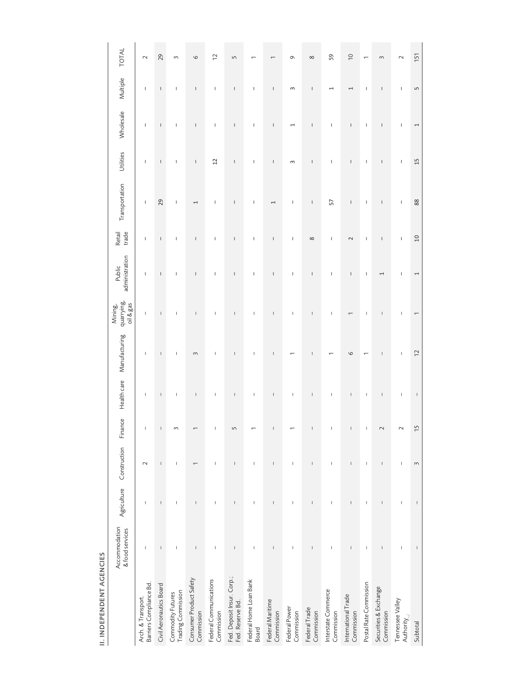| <b>II. INDEPENDENT AGENCIES</b>                |                                                                                                                                                                                                                                                                                                                                                                                  |                                                                                                                                                                                                                                                                                                                                                                                  |                                                                                                                                                                                                                                                                                                                                                                                  |                                       |             |                          |                                    |                                                                                                                                                                                                                                                                                                                                                                                  |                                                                                                                                                                                                                                                                                                                                                                                  |                                                                                                                                                                                                                                                                                                                                                                                  |                                                                                                                                                                                                                                                                                                                                                                                                                |                                                                                                                                                                                                                                                                                                                                                                                  |                          |                          |
|------------------------------------------------|----------------------------------------------------------------------------------------------------------------------------------------------------------------------------------------------------------------------------------------------------------------------------------------------------------------------------------------------------------------------------------|----------------------------------------------------------------------------------------------------------------------------------------------------------------------------------------------------------------------------------------------------------------------------------------------------------------------------------------------------------------------------------|----------------------------------------------------------------------------------------------------------------------------------------------------------------------------------------------------------------------------------------------------------------------------------------------------------------------------------------------------------------------------------|---------------------------------------|-------------|--------------------------|------------------------------------|----------------------------------------------------------------------------------------------------------------------------------------------------------------------------------------------------------------------------------------------------------------------------------------------------------------------------------------------------------------------------------|----------------------------------------------------------------------------------------------------------------------------------------------------------------------------------------------------------------------------------------------------------------------------------------------------------------------------------------------------------------------------------|----------------------------------------------------------------------------------------------------------------------------------------------------------------------------------------------------------------------------------------------------------------------------------------------------------------------------------------------------------------------------------|----------------------------------------------------------------------------------------------------------------------------------------------------------------------------------------------------------------------------------------------------------------------------------------------------------------------------------------------------------------------------------------------------------------|----------------------------------------------------------------------------------------------------------------------------------------------------------------------------------------------------------------------------------------------------------------------------------------------------------------------------------------------------------------------------------|--------------------------|--------------------------|
|                                                | Accommodation<br>& food services                                                                                                                                                                                                                                                                                                                                                 | Agriculture                                                                                                                                                                                                                                                                                                                                                                      | Construction                                                                                                                                                                                                                                                                                                                                                                     | Finance                               | Health care | Manufacturing            | quarrying,<br>oil & gas<br>Mining, | administration<br>Public                                                                                                                                                                                                                                                                                                                                                         | trade<br>Retail                                                                                                                                                                                                                                                                                                                                                                  | Transportation                                                                                                                                                                                                                                                                                                                                                                   | Utilities                                                                                                                                                                                                                                                                                                                                                                                                      | Wholesale                                                                                                                                                                                                                                                                                                                                                                        | Multiple                 | <b>TOTAL</b>             |
| Barriers Compliance Bd.<br>Arch. & Transport.  | $\mathbb{I}$                                                                                                                                                                                                                                                                                                                                                                     | I                                                                                                                                                                                                                                                                                                                                                                                | $\sim$                                                                                                                                                                                                                                                                                                                                                                           | I                                     | $\mathsf I$ | L                        | $\mathsf I$                        | T                                                                                                                                                                                                                                                                                                                                                                                | T                                                                                                                                                                                                                                                                                                                                                                                | T                                                                                                                                                                                                                                                                                                                                                                                | T                                                                                                                                                                                                                                                                                                                                                                                                              | T,                                                                                                                                                                                                                                                                                                                                                                               | T                        | $\sim$                   |
| Civil Aeronautics Board                        | $\sf I$                                                                                                                                                                                                                                                                                                                                                                          | $\mathsf I$                                                                                                                                                                                                                                                                                                                                                                      | $\begin{array}{c} \rule{0pt}{2.5ex} \rule{0pt}{2.5ex} \rule{0pt}{2.5ex} \rule{0pt}{2.5ex} \rule{0pt}{2.5ex} \rule{0pt}{2.5ex} \rule{0pt}{2.5ex} \rule{0pt}{2.5ex} \rule{0pt}{2.5ex} \rule{0pt}{2.5ex} \rule{0pt}{2.5ex} \rule{0pt}{2.5ex} \rule{0pt}{2.5ex} \rule{0pt}{2.5ex} \rule{0pt}{2.5ex} \rule{0pt}{2.5ex} \rule{0pt}{2.5ex} \rule{0pt}{2.5ex} \rule{0pt}{2.5ex} \rule{0$ | I                                     | $\sf I$     | $\sf I$                  | $\mathsf I$                        | $\mathsf I$                                                                                                                                                                                                                                                                                                                                                                      | $\mathsf I$                                                                                                                                                                                                                                                                                                                                                                      | 29                                                                                                                                                                                                                                                                                                                                                                               | L                                                                                                                                                                                                                                                                                                                                                                                                              | $\mathsf I$                                                                                                                                                                                                                                                                                                                                                                      | $\mathsf I$              | 29                       |
| Trading Commission<br>Commodity Futures        | I                                                                                                                                                                                                                                                                                                                                                                                | T.                                                                                                                                                                                                                                                                                                                                                                               | $\mid$                                                                                                                                                                                                                                                                                                                                                                           | 3                                     | T           | $\mathsf I$              | T.                                 | T                                                                                                                                                                                                                                                                                                                                                                                | T                                                                                                                                                                                                                                                                                                                                                                                | T                                                                                                                                                                                                                                                                                                                                                                                | T                                                                                                                                                                                                                                                                                                                                                                                                              | T                                                                                                                                                                                                                                                                                                                                                                                | T                        | 3                        |
| Consumer Product Safety                        | $\mathsf I$                                                                                                                                                                                                                                                                                                                                                                      | $\sf I$                                                                                                                                                                                                                                                                                                                                                                          | $\overline{ }$                                                                                                                                                                                                                                                                                                                                                                   |                                       | $\mathsf I$ | $\sim$                   | $\mathsf I$                        | $\sf I$                                                                                                                                                                                                                                                                                                                                                                          | $\sf I$                                                                                                                                                                                                                                                                                                                                                                          | $\overline{ }$                                                                                                                                                                                                                                                                                                                                                                   | $\begin{array}{c} \rule{0pt}{2ex} \rule{0pt}{2ex} \rule{0pt}{2ex} \rule{0pt}{2ex} \rule{0pt}{2ex} \rule{0pt}{2ex} \rule{0pt}{2ex} \rule{0pt}{2ex} \rule{0pt}{2ex} \rule{0pt}{2ex} \rule{0pt}{2ex} \rule{0pt}{2ex} \rule{0pt}{2ex} \rule{0pt}{2ex} \rule{0pt}{2ex} \rule{0pt}{2ex} \rule{0pt}{2ex} \rule{0pt}{2ex} \rule{0pt}{2ex} \rule{0pt}{2ex} \rule{0pt}{2ex} \rule{0pt}{2ex} \rule{0pt}{2ex} \rule{0pt}{$ | $\sf I$                                                                                                                                                                                                                                                                                                                                                                          | $\mathsf I$              | $\circ$                  |
| Federal Communications                         | $\overline{1}$                                                                                                                                                                                                                                                                                                                                                                   | $\mathsf I$                                                                                                                                                                                                                                                                                                                                                                      | $\overline{\phantom{a}}$                                                                                                                                                                                                                                                                                                                                                         | $\overline{\phantom{a}}$              | $\,$ $\,$   | $\mathsf I$              | $\mathsf I$                        | $\begin{array}{c} \rule{0pt}{2.5ex} \rule{0pt}{2.5ex} \rule{0pt}{2.5ex} \rule{0pt}{2.5ex} \rule{0pt}{2.5ex} \rule{0pt}{2.5ex} \rule{0pt}{2.5ex} \rule{0pt}{2.5ex} \rule{0pt}{2.5ex} \rule{0pt}{2.5ex} \rule{0pt}{2.5ex} \rule{0pt}{2.5ex} \rule{0pt}{2.5ex} \rule{0pt}{2.5ex} \rule{0pt}{2.5ex} \rule{0pt}{2.5ex} \rule{0pt}{2.5ex} \rule{0pt}{2.5ex} \rule{0pt}{2.5ex} \rule{0$ | $\begin{array}{c} \rule{0pt}{2.5ex} \rule{0pt}{2.5ex} \rule{0pt}{2.5ex} \rule{0pt}{2.5ex} \rule{0pt}{2.5ex} \rule{0pt}{2.5ex} \rule{0pt}{2.5ex} \rule{0pt}{2.5ex} \rule{0pt}{2.5ex} \rule{0pt}{2.5ex} \rule{0pt}{2.5ex} \rule{0pt}{2.5ex} \rule{0pt}{2.5ex} \rule{0pt}{2.5ex} \rule{0pt}{2.5ex} \rule{0pt}{2.5ex} \rule{0pt}{2.5ex} \rule{0pt}{2.5ex} \rule{0pt}{2.5ex} \rule{0$ | T                                                                                                                                                                                                                                                                                                                                                                                | $\overline{c}$                                                                                                                                                                                                                                                                                                                                                                                                 | $\begin{array}{c} \rule{0pt}{2.5ex} \rule{0pt}{2.5ex} \rule{0pt}{2.5ex} \rule{0pt}{2.5ex} \rule{0pt}{2.5ex} \rule{0pt}{2.5ex} \rule{0pt}{2.5ex} \rule{0pt}{2.5ex} \rule{0pt}{2.5ex} \rule{0pt}{2.5ex} \rule{0pt}{2.5ex} \rule{0pt}{2.5ex} \rule{0pt}{2.5ex} \rule{0pt}{2.5ex} \rule{0pt}{2.5ex} \rule{0pt}{2.5ex} \rule{0pt}{2.5ex} \rule{0pt}{2.5ex} \rule{0pt}{2.5ex} \rule{0$ | T                        | 12                       |
| Fed. Deposit Insur. Corp.;<br>Fed. Reserve Bd. | $\mathsf I$                                                                                                                                                                                                                                                                                                                                                                      | $\sf I$                                                                                                                                                                                                                                                                                                                                                                          | $\sf I$                                                                                                                                                                                                                                                                                                                                                                          | $\sqrt{2}$                            | $\sf I$     | $\sf I$                  | $\sf I$                            | $\sf I$                                                                                                                                                                                                                                                                                                                                                                          | $\sf I$                                                                                                                                                                                                                                                                                                                                                                          | $\sf I$                                                                                                                                                                                                                                                                                                                                                                          | $\sf I$                                                                                                                                                                                                                                                                                                                                                                                                        | $\sf I$                                                                                                                                                                                                                                                                                                                                                                          | $\sf I$                  | $\sqrt{2}$               |
| Federal Home Loan Bank                         | $\mathsf I$                                                                                                                                                                                                                                                                                                                                                                      | $\mathsf I$                                                                                                                                                                                                                                                                                                                                                                      | $\mid$                                                                                                                                                                                                                                                                                                                                                                           |                                       | $\mathsf I$ | $\mathord{\text{\rm I}}$ | $\mathsf I$                        | $\mathsf I$                                                                                                                                                                                                                                                                                                                                                                      | $\mathsf I$                                                                                                                                                                                                                                                                                                                                                                      | I                                                                                                                                                                                                                                                                                                                                                                                | $\begin{array}{c} \rule{0pt}{2.5ex} \rule{0pt}{2.5ex} \rule{0pt}{2.5ex} \rule{0pt}{2.5ex} \rule{0pt}{2.5ex} \rule{0pt}{2.5ex} \rule{0pt}{2.5ex} \rule{0pt}{2.5ex} \rule{0pt}{2.5ex} \rule{0pt}{2.5ex} \rule{0pt}{2.5ex} \rule{0pt}{2.5ex} \rule{0pt}{2.5ex} \rule{0pt}{2.5ex} \rule{0pt}{2.5ex} \rule{0pt}{2.5ex} \rule{0pt}{2.5ex} \rule{0pt}{2.5ex} \rule{0pt}{2.5ex} \rule{0$                               | $\mathsf I$                                                                                                                                                                                                                                                                                                                                                                      | $\mathbf{I}$             |                          |
| Federal Maritime                               | $\mathsf I$                                                                                                                                                                                                                                                                                                                                                                      | $\vert$                                                                                                                                                                                                                                                                                                                                                                          | $\mathsf I$                                                                                                                                                                                                                                                                                                                                                                      | $\overline{\phantom{a}}$              | $\mathsf I$ | $\mathsf I$              | $\mathsf I$                        | $\sf I$                                                                                                                                                                                                                                                                                                                                                                          | $\sf I$                                                                                                                                                                                                                                                                                                                                                                          | 1                                                                                                                                                                                                                                                                                                                                                                                | $\mathsf I$                                                                                                                                                                                                                                                                                                                                                                                                    | $\sf I$                                                                                                                                                                                                                                                                                                                                                                          | $\sf I$                  |                          |
| Federal Power                                  | $\mathsf I$                                                                                                                                                                                                                                                                                                                                                                      | $\mathsf I$                                                                                                                                                                                                                                                                                                                                                                      | $\mathord{\text{\rm I}}$                                                                                                                                                                                                                                                                                                                                                         |                                       | $\mathsf I$ | $\overline{a}$           | $\mathsf I$                        | $\mathsf I$                                                                                                                                                                                                                                                                                                                                                                      | $\mathsf I$                                                                                                                                                                                                                                                                                                                                                                      | $\mathsf I$                                                                                                                                                                                                                                                                                                                                                                      | $\sim$                                                                                                                                                                                                                                                                                                                                                                                                         | $\overline{\phantom{0}}$                                                                                                                                                                                                                                                                                                                                                         | $\omega$                 | G                        |
| Federal Trade                                  | $\sf I$                                                                                                                                                                                                                                                                                                                                                                          | $\sf I$                                                                                                                                                                                                                                                                                                                                                                          | $\mid$                                                                                                                                                                                                                                                                                                                                                                           | $\mid$                                | $\,$ $\,$   | $\mid$                   | $\mid$                             | $\sf I$                                                                                                                                                                                                                                                                                                                                                                          | ${}^{\circ}$                                                                                                                                                                                                                                                                                                                                                                     | $\begin{array}{c} \rule{0pt}{2.5ex} \rule{0pt}{2.5ex} \rule{0pt}{2.5ex} \rule{0pt}{2.5ex} \rule{0pt}{2.5ex} \rule{0pt}{2.5ex} \rule{0pt}{2.5ex} \rule{0pt}{2.5ex} \rule{0pt}{2.5ex} \rule{0pt}{2.5ex} \rule{0pt}{2.5ex} \rule{0pt}{2.5ex} \rule{0pt}{2.5ex} \rule{0pt}{2.5ex} \rule{0pt}{2.5ex} \rule{0pt}{2.5ex} \rule{0pt}{2.5ex} \rule{0pt}{2.5ex} \rule{0pt}{2.5ex} \rule{0$ | $\mathsf I$                                                                                                                                                                                                                                                                                                                                                                                                    | $\sf I$                                                                                                                                                                                                                                                                                                                                                                          | $\sf I$                  | $\infty$                 |
| Interstate Commerce                            | $\mathsf I$                                                                                                                                                                                                                                                                                                                                                                      | $\mathsf I$                                                                                                                                                                                                                                                                                                                                                                      | $\mathsf I$                                                                                                                                                                                                                                                                                                                                                                      | $\sf I$                               | $\mathsf I$ | $\overline{ }$           | $\mathsf I$                        | $\mathsf I$                                                                                                                                                                                                                                                                                                                                                                      | T                                                                                                                                                                                                                                                                                                                                                                                | 57                                                                                                                                                                                                                                                                                                                                                                               | T                                                                                                                                                                                                                                                                                                                                                                                                              | $\mathsf I$                                                                                                                                                                                                                                                                                                                                                                      | $\overline{\phantom{0}}$ | 59                       |
| International Trade                            | $\sf I$                                                                                                                                                                                                                                                                                                                                                                          | $\sf I$                                                                                                                                                                                                                                                                                                                                                                          | $\begin{array}{c} \rule{0pt}{2.5ex} \rule{0pt}{2.5ex} \rule{0pt}{2.5ex} \rule{0pt}{2.5ex} \rule{0pt}{2.5ex} \rule{0pt}{2.5ex} \rule{0pt}{2.5ex} \rule{0pt}{2.5ex} \rule{0pt}{2.5ex} \rule{0pt}{2.5ex} \rule{0pt}{2.5ex} \rule{0pt}{2.5ex} \rule{0pt}{2.5ex} \rule{0pt}{2.5ex} \rule{0pt}{2.5ex} \rule{0pt}{2.5ex} \rule{0pt}{2.5ex} \rule{0pt}{2.5ex} \rule{0pt}{2.5ex} \rule{0$ | $\begin{array}{c} \hline \end{array}$ | $\mid$      | $\circ$                  | $\overline{\phantom{0}}$           | I                                                                                                                                                                                                                                                                                                                                                                                | $\sim$                                                                                                                                                                                                                                                                                                                                                                           | $\begin{array}{c} \rule{0pt}{2.5ex} \rule{0pt}{2.5ex} \rule{0pt}{2.5ex} \rule{0pt}{2.5ex} \rule{0pt}{2.5ex} \rule{0pt}{2.5ex} \rule{0pt}{2.5ex} \rule{0pt}{2.5ex} \rule{0pt}{2.5ex} \rule{0pt}{2.5ex} \rule{0pt}{2.5ex} \rule{0pt}{2.5ex} \rule{0pt}{2.5ex} \rule{0pt}{2.5ex} \rule{0pt}{2.5ex} \rule{0pt}{2.5ex} \rule{0pt}{2.5ex} \rule{0pt}{2.5ex} \rule{0pt}{2.5ex} \rule{0$ | $\begin{array}{c} \rule{0pt}{2.5ex} \rule{0pt}{2.5ex} \rule{0pt}{2.5ex} \rule{0pt}{2.5ex} \rule{0pt}{2.5ex} \rule{0pt}{2.5ex} \rule{0pt}{2.5ex} \rule{0pt}{2.5ex} \rule{0pt}{2.5ex} \rule{0pt}{2.5ex} \rule{0pt}{2.5ex} \rule{0pt}{2.5ex} \rule{0pt}{2.5ex} \rule{0pt}{2.5ex} \rule{0pt}{2.5ex} \rule{0pt}{2.5ex} \rule{0pt}{2.5ex} \rule{0pt}{2.5ex} \rule{0pt}{2.5ex} \rule{0$                               | I                                                                                                                                                                                                                                                                                                                                                                                | $\overline{ }$           | $\overline{C}$           |
| Postal Rate Commission                         | I                                                                                                                                                                                                                                                                                                                                                                                | I                                                                                                                                                                                                                                                                                                                                                                                | I                                                                                                                                                                                                                                                                                                                                                                                | I                                     | $\mathsf I$ | $\overline{ }$           | $\mathsf I$                        | $\mathsf I$                                                                                                                                                                                                                                                                                                                                                                      | $\begin{array}{c} \rule{0pt}{2.5ex} \rule{0pt}{2.5ex} \rule{0pt}{2.5ex} \rule{0pt}{2.5ex} \rule{0pt}{2.5ex} \rule{0pt}{2.5ex} \rule{0pt}{2.5ex} \rule{0pt}{2.5ex} \rule{0pt}{2.5ex} \rule{0pt}{2.5ex} \rule{0pt}{2.5ex} \rule{0pt}{2.5ex} \rule{0pt}{2.5ex} \rule{0pt}{2.5ex} \rule{0pt}{2.5ex} \rule{0pt}{2.5ex} \rule{0pt}{2.5ex} \rule{0pt}{2.5ex} \rule{0pt}{2.5ex} \rule{0$ | $\mathsf I$                                                                                                                                                                                                                                                                                                                                                                      | $\mathsf I$                                                                                                                                                                                                                                                                                                                                                                                                    | $\begin{array}{c} \rule{0pt}{2.5ex} \rule{0pt}{2.5ex} \rule{0pt}{2.5ex} \rule{0pt}{2.5ex} \rule{0pt}{2.5ex} \rule{0pt}{2.5ex} \rule{0pt}{2.5ex} \rule{0pt}{2.5ex} \rule{0pt}{2.5ex} \rule{0pt}{2.5ex} \rule{0pt}{2.5ex} \rule{0pt}{2.5ex} \rule{0pt}{2.5ex} \rule{0pt}{2.5ex} \rule{0pt}{2.5ex} \rule{0pt}{2.5ex} \rule{0pt}{2.5ex} \rule{0pt}{2.5ex} \rule{0pt}{2.5ex} \rule{0$ | $\mathsf{I}$             | $\overline{\phantom{0}}$ |
| Securities & Exchange                          | $\mathsf{I}$                                                                                                                                                                                                                                                                                                                                                                     | I                                                                                                                                                                                                                                                                                                                                                                                | I                                                                                                                                                                                                                                                                                                                                                                                | $\sim$                                | I           | I                        | I                                  | $\overline{1}$                                                                                                                                                                                                                                                                                                                                                                   | I                                                                                                                                                                                                                                                                                                                                                                                | I                                                                                                                                                                                                                                                                                                                                                                                | I                                                                                                                                                                                                                                                                                                                                                                                                              | I                                                                                                                                                                                                                                                                                                                                                                                | I                        | $\sim$                   |
| Tennessee Valley                               | $\sf I$                                                                                                                                                                                                                                                                                                                                                                          | $\mathsf I$                                                                                                                                                                                                                                                                                                                                                                      | $\mathsf I$                                                                                                                                                                                                                                                                                                                                                                      | $\sim$                                | $\mathsf I$ | $\mathsf I$              | $\mathsf I$                        | $\mathsf I$                                                                                                                                                                                                                                                                                                                                                                      | $\mathsf{I}$                                                                                                                                                                                                                                                                                                                                                                     | $\mathsf I$                                                                                                                                                                                                                                                                                                                                                                      | $\mathsf{I}$                                                                                                                                                                                                                                                                                                                                                                                                   | $\mathsf I$                                                                                                                                                                                                                                                                                                                                                                      | $\mathsf{I}$             | $\sim$                   |
|                                                | $\begin{array}{c} \rule{0pt}{2.5ex} \rule{0pt}{2.5ex} \rule{0pt}{2.5ex} \rule{0pt}{2.5ex} \rule{0pt}{2.5ex} \rule{0pt}{2.5ex} \rule{0pt}{2.5ex} \rule{0pt}{2.5ex} \rule{0pt}{2.5ex} \rule{0pt}{2.5ex} \rule{0pt}{2.5ex} \rule{0pt}{2.5ex} \rule{0pt}{2.5ex} \rule{0pt}{2.5ex} \rule{0pt}{2.5ex} \rule{0pt}{2.5ex} \rule{0pt}{2.5ex} \rule{0pt}{2.5ex} \rule{0pt}{2.5ex} \rule{0$ | $\begin{array}{c} \rule{0pt}{2.5ex} \rule{0pt}{2.5ex} \rule{0pt}{2.5ex} \rule{0pt}{2.5ex} \rule{0pt}{2.5ex} \rule{0pt}{2.5ex} \rule{0pt}{2.5ex} \rule{0pt}{2.5ex} \rule{0pt}{2.5ex} \rule{0pt}{2.5ex} \rule{0pt}{2.5ex} \rule{0pt}{2.5ex} \rule{0pt}{2.5ex} \rule{0pt}{2.5ex} \rule{0pt}{2.5ex} \rule{0pt}{2.5ex} \rule{0pt}{2.5ex} \rule{0pt}{2.5ex} \rule{0pt}{2.5ex} \rule{0$ | $\sim$                                                                                                                                                                                                                                                                                                                                                                           | $\frac{5}{5}$                         | $\sf I$     | $\overline{C}$           |                                    | $\overline{ }$                                                                                                                                                                                                                                                                                                                                                                   | 10                                                                                                                                                                                                                                                                                                                                                                               | 88                                                                                                                                                                                                                                                                                                                                                                               | 15                                                                                                                                                                                                                                                                                                                                                                                                             |                                                                                                                                                                                                                                                                                                                                                                                  | LŊ                       | 151                      |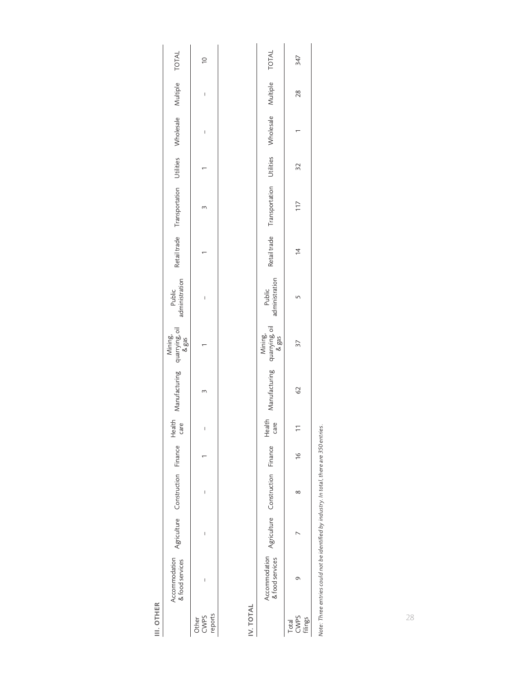III. OTHER III. OTHER

|                                                               | $\approx$                |  |
|---------------------------------------------------------------|--------------------------|--|
|                                                               | I                        |  |
|                                                               | I                        |  |
|                                                               |                          |  |
| Retailtrade Transportation Utilities Wholesale Multiple TOTAL | m                        |  |
|                                                               |                          |  |
| Public<br>administration                                      | I                        |  |
|                                                               |                          |  |
| Mining,<br>Manufacturing quarrying,oil<br>&gas                |                          |  |
| Health<br>care                                                | I                        |  |
|                                                               |                          |  |
| Agriculture Construction Finance                              | I                        |  |
|                                                               |                          |  |
| Accommodation<br>& food services                              |                          |  |
|                                                               | Other<br>CWPS<br>reports |  |

IV. TOTAL IV. TOTAL

| <b>TOTAL</b>                       | 347                            |  |
|------------------------------------|--------------------------------|--|
| Multiple                           | 28                             |  |
| <b>Wholesale</b>                   |                                |  |
| Utilities                          | 32                             |  |
| l'ransportation                    | 117                            |  |
| Retail trade                       | 14                             |  |
| Public<br>administration           |                                |  |
| Mining,<br>1uarrying, oil<br>& gas | 37                             |  |
| Aanufacturing                      | 2                              |  |
| care<br>$He$ alt                   |                                |  |
|                                    | $\approx$                      |  |
| Construction Finance               | $\infty$                       |  |
| Agriculture                        | ľ                              |  |
| ccommodation<br>food services      | の                              |  |
|                                    | CWPS<br>flings<br><b>Total</b> |  |

Note: Three entries could not be identified by industry. In total, there are 350 entries. *Note: Three entries could not be identified by industry. In total, there are 350 entries.*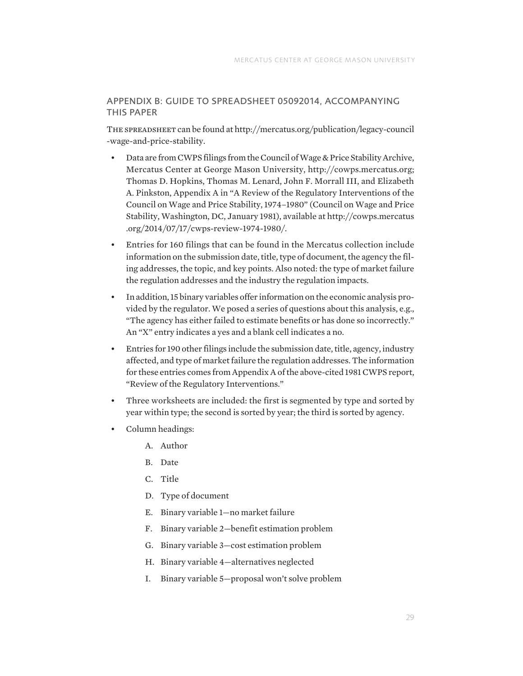# APPENDIX B: GUIDE TO SPREADSHEET 05092014, ACCOMPANYING THIS PAPER

The spreadsheet can be found at [http://mercatus.org/publication/legacy-council](http://mercatus.org/publication/legacy-council-wage-and-price-stability) [-wage-and-price-stability](http://mercatus.org/publication/legacy-council-wage-and-price-stability).

- Data are from CWPS filings from the Council of Wage & Price Stability Archive, Mercatus Center at George Mason University, [http://cowps.mercatus.org](http://cowps.mercatus.org/); Thomas D. Hopkins, Thomas M. Lenard, John F. Morrall III, and Elizabeth A. Pinkston, Appendix A in "A Review of the Regulatory Interventions of the Council on Wage and Price Stability, 1974–1980" (Council on Wage and Price Stability, Washington, DC, January 1981), available at [http://cowps.mercatus](http://cowps.mercatus.org/2014/07/17/cwps-review-1974-1980/) [.org/2014/07/17/cwps-review-1974-1980/.](http://cowps.mercatus.org/2014/07/17/cwps-review-1974-1980/)
- Entries for 160 filings that can be found in the Mercatus collection include information on the submission date, title, type of document, the agency the filing addresses, the topic, and key points. Also noted: the type of market failure the regulation addresses and the industry the regulation impacts.
- In addition, 15 binary variables offer information on the economic analysis provided by the regulator. We posed a series of questions about this analysis, e.g., "The agency has either failed to estimate benefits or has done so incorrectly." An "X" entry indicates a yes and a blank cell indicates a no.
- Entries for 190 other filings include the submission date, title, agency, industry affected, and type of market failure the regulation addresses. The information for these entries comes from Appendix A of the above-cited 1981 CWPS report, "Review of the Regulatory Interventions."
- Three worksheets are included: the first is segmented by type and sorted by year within type; the second is sorted by year; the third is sorted by agency.
- Column headings:
	- A. Author
	- B. Date
	- C. Title
	- D. Type of document
	- E. Binary variable 1—no market failure
	- F. Binary variable 2—benefit estimation problem
	- G. Binary variable 3—cost estimation problem
	- H. Binary variable 4—alternatives neglected
	- I. Binary variable 5—proposal won't solve problem